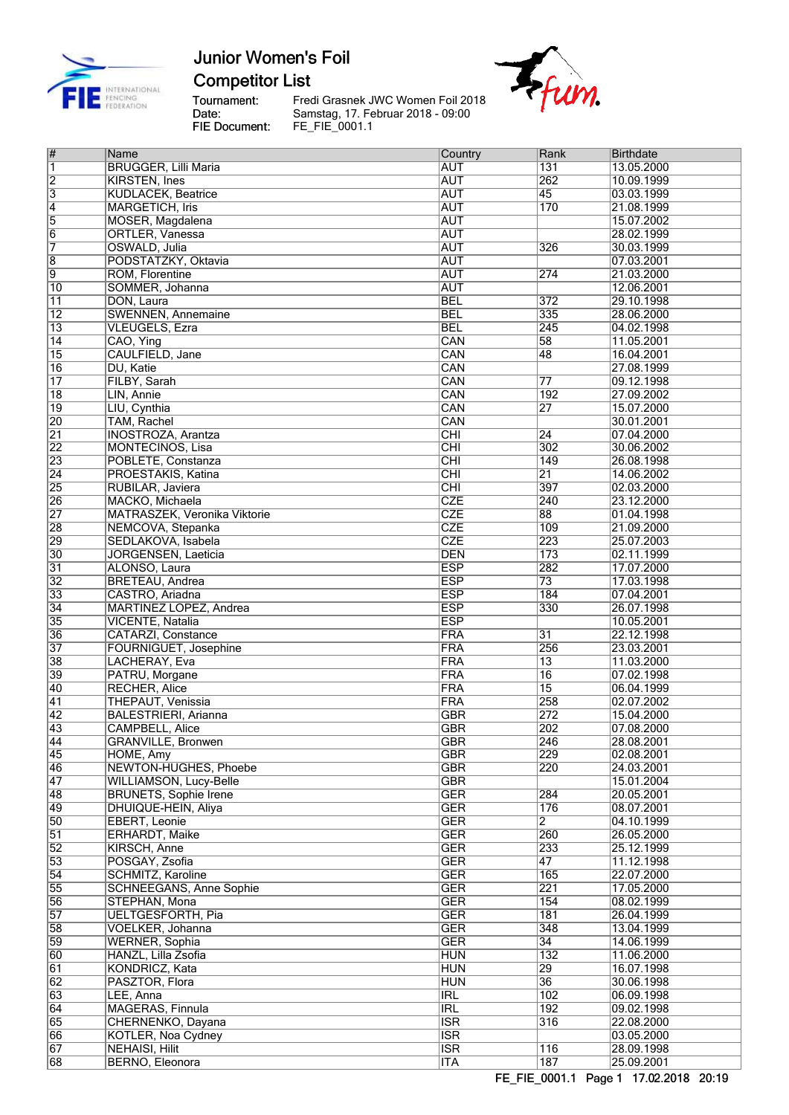

**Competitor List** 

Tournament:<br>Date:<br>FIE Document:

---<br>Fredi Grasnek JWC Women Foil 2018<br>Samstag, 17. Februar 2018 - 09:00<br>FE\_FIE\_0001.1



| $\overline{\#}$ | Name                                   | Country                  | Rank                               | <b>Birthdate</b>         |
|-----------------|----------------------------------------|--------------------------|------------------------------------|--------------------------|
| $\overline{1}$  | <b>BRUGGER, Lilli Maria</b>            | <b>AUT</b>               | 131                                | 13.05.2000               |
| $\overline{2}$  | <b>KIRSTEN, Ines</b>                   | <b>AUT</b>               | 262                                | 10.09.1999               |
| $\overline{3}$  | <b>KUDLACEK, Beatrice</b>              | <b>AUT</b>               | 45                                 | 03.03.1999               |
| $\overline{4}$  | <b>MARGETICH, Iris</b>                 | <b>AUT</b>               | 170                                | 21.08.1999               |
| 5               | MOSER, Magdalena                       | <b>AUT</b>               |                                    | 15.07.2002               |
| $\overline{6}$  | ORTLER, Vanessa                        | <b>AUT</b>               |                                    | 28.02.1999               |
| 7               | OSWALD, Julia                          | <b>AUT</b>               | $\overline{326}$                   | 30.03.1999               |
| 8               | PODSTATZKY, Oktavia                    | <b>AUT</b>               |                                    | 07.03.2001               |
| $\overline{9}$  | ROM, Florentine                        | <b>AUT</b>               | 274                                | 21.03.2000               |
| $\overline{10}$ | SOMMER, Johanna                        | <b>AUT</b>               |                                    | 12.06.2001               |
| $\overline{11}$ | DON, Laura                             | <b>BEL</b>               | 372                                | 29.10.1998               |
| $\overline{12}$ | <b>SWENNEN, Annemaine</b>              | <b>BEL</b>               | 335                                | 28.06.2000               |
| $\overline{13}$ | <b>VLEUGELS, Ezra</b>                  | <b>BEL</b>               | 245                                | 04.02.1998               |
| $\overline{14}$ | CAO, Ying                              | CAN                      | $\overline{58}$                    | 11.05.2001               |
| $\overline{15}$ | CAULFIELD, Jane                        | CAN                      | 48                                 | 16.04.2001               |
| $\overline{16}$ | DU, Katie                              | CAN                      |                                    | 27.08.1999               |
| $\overline{17}$ | FILBY, Sarah                           | CAN                      | 77                                 | 09.12.1998               |
| $\overline{18}$ | LIN, Annie                             | CAN                      | 192                                | 27.09.2002               |
| $\overline{19}$ | LIU, Cynthia                           | CAN                      | $\overline{27}$                    | 15.07.2000               |
| 20              | TAM, Rachel                            | CAN                      |                                    | 30.01.2001               |
| $\overline{21}$ | <b>INOSTROZA, Arantza</b>              | $\overline{\text{CHI}}$  | 24                                 | 07.04.2000               |
| $\overline{22}$ | <b>MONTECINOS, Lisa</b>                | CHI                      | 302                                | 30.06.2002               |
| 23              | POBLETE, Constanza                     | $\overline{CHI}$         | 149                                | 26.08.1998               |
| $\overline{24}$ | PROESTAKIS, Katina                     | $\overline{CHI}$         | $\overline{21}$                    | 14.06.2002               |
| $\overline{25}$ | RUBILAR, Javiera                       | $\overline{CHI}$         | 397                                | 02.03.2000               |
| 26              | MACKO, Michaela                        | <b>CZE</b>               | 240                                | 23.12.2000               |
| $\overline{27}$ | <b>MATRASZEK, Veronika Viktorie</b>    | <b>CZE</b>               | 88                                 | 01.04.1998               |
| 28              | NEMCOVA, Stepanka                      | <b>CZE</b>               | 109                                | 21.09.2000               |
| 29              | SEDLAKOVA, Isabela                     | <b>CZE</b>               | 223                                | 25.07.2003               |
| 30              | <b>JORGENSEN, Laeticia</b>             | <b>DEN</b>               | 173                                | 02.11.1999               |
| 31              | ALONSO, Laura                          | <b>ESP</b>               | 282                                | 17.07.2000               |
| $\overline{32}$ | BRETEAU, Andrea                        | <b>ESP</b>               | $\overline{73}$                    | 17.03.1998               |
| 33              | CASTRO, Ariadna                        | <b>ESP</b>               | 184                                | 07.04.2001               |
| $\overline{34}$ | MARTINEZ LOPEZ, Andrea                 | <b>ESP</b>               | 330                                | 26.07.1998               |
| 35              | VICENTE, Natalia                       | <b>ESP</b>               |                                    | 10.05.2001               |
| 36              | <b>CATARZI, Constance</b>              | FRA                      | $\overline{31}$                    | 22.12.1998               |
| $\overline{37}$ | FOURNIGUET, Josephine                  | FRA                      | 256                                | 23.03.2001               |
| 38<br>39        | LACHERAY, Eva                          | <b>FRA</b><br><b>FRA</b> | $\overline{13}$<br>$\overline{16}$ | 11.03.2000               |
| 40              | PATRU, Morgane<br><b>RECHER, Alice</b> | <b>FRA</b>               | $\overline{15}$                    | 07.02.1998<br>06.04.1999 |
| $\overline{41}$ | THEPAUT, Venissia                      | <b>FRA</b>               | 258                                | 02.07.2002               |
| $\overline{42}$ | <b>BALESTRIERI, Arianna</b>            | <b>GBR</b>               | 272                                | 15.04.2000               |
| 43              | <b>CAMPBELL, Alice</b>                 | <b>GBR</b>               | 202                                | 07.08.2000               |
| $\sqrt{44}$     | GRANVILLE, Bronwen                     | GBR                      | 246                                | 28.08.2001               |
| $\overline{45}$ | HOME, Amy                              | <b>GBR</b>               | 229                                | 02.08.2001               |
| 46              | NEWTON-HUGHES, Phoebe                  | <b>GBR</b>               | 220                                | 24.03.2001               |
| $\overline{47}$ | WILLIAMSON, Lucy-Belle                 | <b>GBR</b>               |                                    | 15.01.2004               |
| 48              | <b>BRUNETS, Sophie Irene</b>           | <b>GER</b>               | 284                                | 20.05.2001               |
| 49              | DHUIQUE-HEIN, Aliya                    | <b>GER</b>               | 176                                | 08.07.2001               |
| 50              | EBERT, Leonie                          | <b>GER</b>               | 2                                  | 04.10.1999               |
| $\overline{51}$ | <b>ERHARDT, Maike</b>                  | <b>GER</b>               | 260                                | 26.05.2000               |
| $\overline{52}$ | KIRSCH, Anne                           | <b>GER</b>               | 233                                | 25.12.1999               |
| 53              | POSGAY, Zsofia                         | <b>GER</b>               | $\overline{47}$                    | 11.12.1998               |
| $\overline{54}$ | <b>SCHMITZ, Karoline</b>               | <b>GER</b>               | 165                                | 22.07.2000               |
| 55              | <b>SCHNEEGANS, Anne Sophie</b>         | <b>GER</b>               | 221                                | 17.05.2000               |
| 56              | STEPHAN, Mona                          | <b>GER</b>               | 154                                | 08.02.1999               |
| 57              | <b>UELTGESFORTH, Pia</b>               | <b>GER</b>               | 181                                | 26.04.1999               |
| 58              | VOELKER, Johanna                       | <b>GER</b>               | 348                                | 13.04.1999               |
| 59              | <b>WERNER, Sophia</b>                  | <b>GER</b>               | $\overline{34}$                    | 14.06.1999               |
| 60              | HANZL, Lilla Zsofia                    | <b>HUN</b>               | $\overline{132}$                   | 11.06.2000               |
| $\overline{61}$ | KONDRICZ, Kata                         | <b>HUN</b>               | 29                                 | 16.07.1998               |
| $\overline{62}$ | PASZTOR, Flora                         | <b>HUN</b>               | 36                                 | 30.06.1998               |
| 63              | LEE, Anna                              | <b>IRL</b>               | 102                                | 06.09.1998               |
| $\overline{64}$ | MAGERAS, Finnula                       | <b>IRL</b>               | 192                                | 09.02.1998               |
| 65              | CHERNENKO, Dayana                      | <b>ISR</b>               | 316                                | 22.08.2000               |
| 66              | KOTLER, Noa Cydney                     | $\overline{\text{ISR}}$  |                                    | 03.05.2000               |
| 67<br>68        | <b>NEHAISI, Hilit</b>                  | <b>ISR</b><br>$\Pi$ TA   | $\overline{116}$<br>187            | 28.09.1998               |
|                 | BERNO, Eleonora                        |                          |                                    | 25.09.2001               |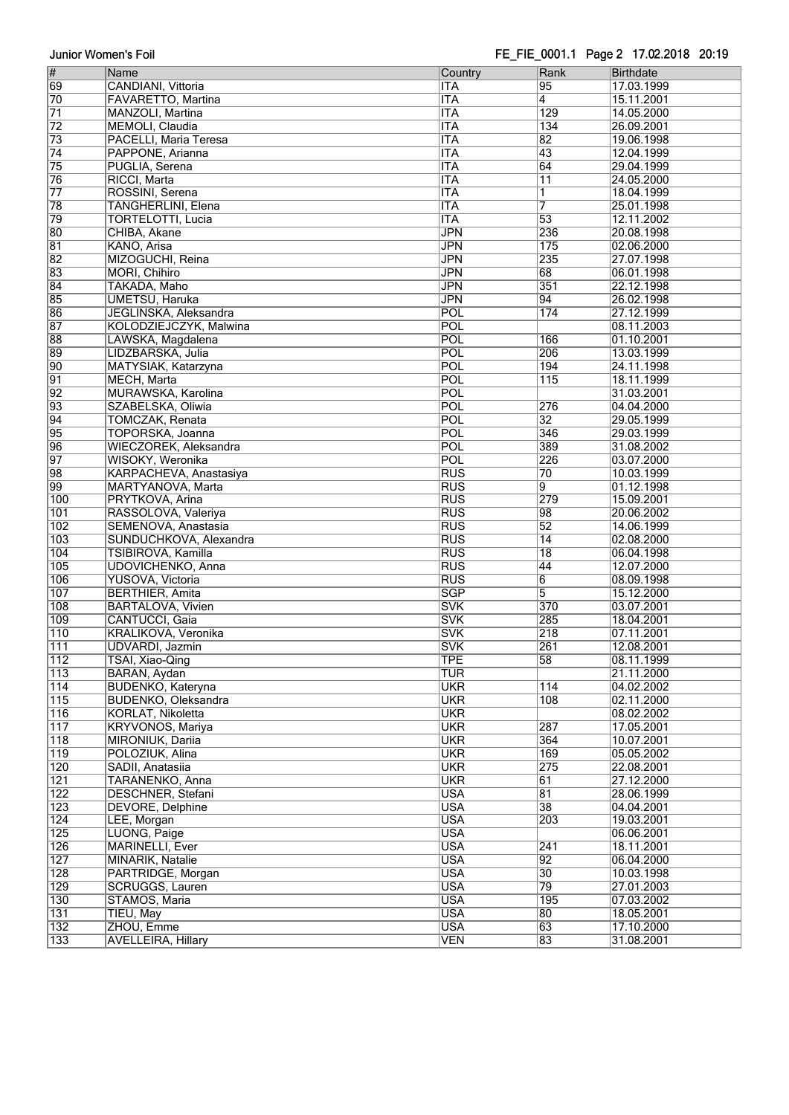#### FE FIE 0001.1 Page 2 17.02.2018 20:19

| $\overline{\#}$  | Name                       | Country    | Rank             | <b>Birthdate</b> |
|------------------|----------------------------|------------|------------------|------------------|
| 69               | CANDIANI, Vittoria         | <b>ITA</b> | $\overline{95}$  | 17.03.1999       |
|                  |                            |            |                  |                  |
| 70               | FAVARETTO, Martina         | <b>ITA</b> | 4                | 15.11.2001       |
| $\overline{71}$  | MANZOLI, Martina           | <b>ITA</b> | $\overline{129}$ | 14.05.2000       |
| $\overline{72}$  | <b>MEMOLI</b> , Claudia    | <b>ITA</b> | 134              | 26.09.2001       |
|                  |                            |            |                  |                  |
| $\overline{73}$  | PACELLI, Maria Teresa      | <b>ITA</b> | 82               | 19.06.1998       |
| $\overline{74}$  | PAPPONE, Arianna           | <b>ITA</b> | 43               | 12.04.1999       |
|                  |                            |            |                  |                  |
| 75               | PUGLIA, Serena             | <b>ITA</b> | $\overline{64}$  | 29.04.1999       |
| 76               | RICCI, Marta               | <b>ITA</b> | $\overline{11}$  | 24.05.2000       |
| $\overline{77}$  | ROSSINI, Serena            | <b>ITA</b> | 1                | 18.04.1999       |
|                  |                            |            |                  |                  |
| 78               | TANGHERLINI, Elena         | <b>ITA</b> | 7                | 25.01.1998       |
| 79               | <b>TORTELOTTI, Lucia</b>   | <b>ITA</b> | $\overline{53}$  | 12.11.2002       |
| 80               |                            | <b>JPN</b> | 236              |                  |
|                  | CHIBA, Akane               |            |                  | 20.08.1998       |
| 81               | KANO, Arisa                | <b>JPN</b> | 175              | 02.06.2000       |
| $\overline{82}$  | MIZOGUCHI, Reina           | <b>JPN</b> | 235              | 27.07.1998       |
|                  |                            |            |                  |                  |
| 83               | MORI, Chihiro              | <b>JPN</b> | 68               | 06.01.1998       |
| $\overline{84}$  | TAKADA, Maho               | <b>JPN</b> | 351              | 22.12.1998       |
|                  |                            |            |                  |                  |
| 85               | <b>UMETSU, Haruka</b>      | <b>JPN</b> | 94               | 26.02.1998       |
| 86               | JEGLINSKA, Aleksandra      | POL        | 174              | 27.12.1999       |
| 87               | KOLODZIEJCZYK, Malwina     | POL        |                  | 08.11.2003       |
|                  |                            |            |                  |                  |
| 88               | LAWSKA, Magdalena          | POL        | 166              | 01.10.2001       |
| 89               | LIDZBARSKA, Julia          | POL        | 206              | 13.03.1999       |
|                  |                            |            |                  |                  |
| $\overline{90}$  | MATYSIAK, Katarzyna        | POL        | 194              | 24.11.1998       |
| $\overline{91}$  | <b>MECH, Marta</b>         | POL        | $\overline{115}$ | 18.11.1999       |
| $\overline{92}$  | MURAWSKA, Karolina         | POL        |                  | 31.03.2001       |
|                  |                            |            |                  |                  |
| 93               | SZABELSKA, Oliwia          | POL        | 276              | 04.04.2000       |
| $\overline{94}$  | <b>TOMCZAK, Renata</b>     | POL        | $\overline{32}$  | 29.05.1999       |
|                  |                            |            |                  |                  |
| 95               | TOPORSKA, Joanna           | POL        | 346              | 29.03.1999       |
| 96               | WIECZOREK, Aleksandra      | POL        | 389              | 31.08.2002       |
| $\overline{97}$  | WISOKY, Weronika           | POL        | 226              | 03.07.2000       |
|                  |                            |            |                  |                  |
| 98               | KARPACHEVA, Anastasiya     | <b>RUS</b> | 70               | 10.03.1999       |
| 99               | MARTYANOVA, Marta          | <b>RUS</b> | 9                | 01.12.1998       |
| 100              |                            | <b>RUS</b> | $\overline{279}$ |                  |
|                  | PRYTKOVA, Arina            |            |                  | 15.09.2001       |
| 101              | RASSOLOVA, Valeriya        | <b>RUS</b> | 98               | 20.06.2002       |
| 102              | SEMENOVA, Anastasia        | <b>RUS</b> | $\overline{52}$  | 14.06.1999       |
|                  |                            |            |                  |                  |
| 103              | SUNDUCHKOVA, Alexandra     | <b>RUS</b> | $\overline{14}$  | 02.08.2000       |
| 104              | TSIBIROVA, Kamilla         | <b>RUS</b> | 18               | 06.04.1998       |
|                  |                            |            |                  |                  |
| 105              | UDOVICHENKO, Anna          | <b>RUS</b> | 44               | 12.07.2000       |
| 106              | YUSOVA, Victoria           | <b>RUS</b> | 6                | 08.09.1998       |
| 107              | <b>BERTHIER, Amita</b>     | <b>SGP</b> | $\overline{5}$   | 15.12.2000       |
|                  |                            |            |                  |                  |
| 108              | <b>BARTALOVA, Vivien</b>   | <b>SVK</b> | 370              | 03.07.2001       |
| 109              | <b>CANTUCCI, Gaia</b>      | <b>SVK</b> | 285              | 18.04.2001       |
| $\overline{110}$ | <b>KRALIKOVA, Veronika</b> |            |                  |                  |
|                  |                            | <b>SVK</b> | 218              | 07.11.2001       |
| $\overline{111}$ | <b>UDVARDI</b> , Jazmin    | <b>SVK</b> | 261              | 12.08.2001       |
| $\overline{112}$ | TSAI, Xiao-Qing            | <b>TPE</b> | 58               | 08.11.1999       |
|                  |                            |            |                  |                  |
| $\overline{113}$ | BARAN, Aydan               | <b>TUR</b> |                  | 21.11.2000       |
| $\overline{114}$ | <b>BUDENKO, Kateryna</b>   | <b>UKR</b> | 114              | 04.02.2002       |
| $\overline{115}$ | <b>BUDENKO, Oleksandra</b> | <b>UKR</b> | 108              | 02.11.2000       |
|                  |                            |            |                  |                  |
| $ 116\rangle$    | KORLAT, Nikoletta          | <b>UKR</b> |                  | 08.02.2002       |
| $\overline{117}$ | KRYVONOS, Mariya           | <b>UKR</b> | 287              | 17.05.2001       |
|                  |                            |            |                  |                  |
| $\overline{118}$ | MIRONIUK, Dariia           | <b>UKR</b> | 364              | 10.07.2001       |
| $\overline{119}$ | POLOZIUK, Alina            | <b>UKR</b> | 169              | 05.05.2002       |
| 120              | SADII, Anatasiia           | <b>UKR</b> | 275              | 22.08.2001       |
|                  |                            |            |                  |                  |
| 121              | TARANENKO, Anna            | <b>UKR</b> | $\overline{61}$  | 27.12.2000       |
| $\overline{122}$ | <b>DESCHNER, Stefani</b>   | <b>USA</b> | $\overline{81}$  | 28.06.1999       |
|                  |                            |            |                  |                  |
| 123              | DEVORE, Delphine           | <b>USA</b> | 38               | 04.04.2001       |
| 124              | LEE, Morgan                | <b>USA</b> | 203              | 19.03.2001       |
| 125              | LUONG, Paige               | <b>USA</b> |                  | 06.06.2001       |
|                  |                            |            |                  |                  |
| 126              | MARINELLI, Ever            | <b>USA</b> | 241              | 18.11.2001       |
| 127              | MINARIK, Natalie           | <b>USA</b> | $\overline{92}$  | 06.04.2000       |
|                  |                            |            |                  |                  |
| $\overline{128}$ | PARTRIDGE, Morgan          | <b>USA</b> | $\overline{30}$  | 10.03.1998       |
| 129              | SCRUGGS, Lauren            | <b>USA</b> | 79               | 27.01.2003       |
| 130              | STAMOS, Maria              | <b>USA</b> | 195              | 07.03.2002       |
|                  |                            |            |                  |                  |
| 131              | TIEU, May                  | <b>USA</b> | 80               | 18.05.2001       |
| 132              | ZHOU, Emme                 | <b>USA</b> | $\overline{63}$  | 17.10.2000       |
|                  |                            |            |                  |                  |
| $\overline{133}$ | <b>AVELLEIRA, Hillary</b>  | <b>VEN</b> | 83               | 31.08.2001       |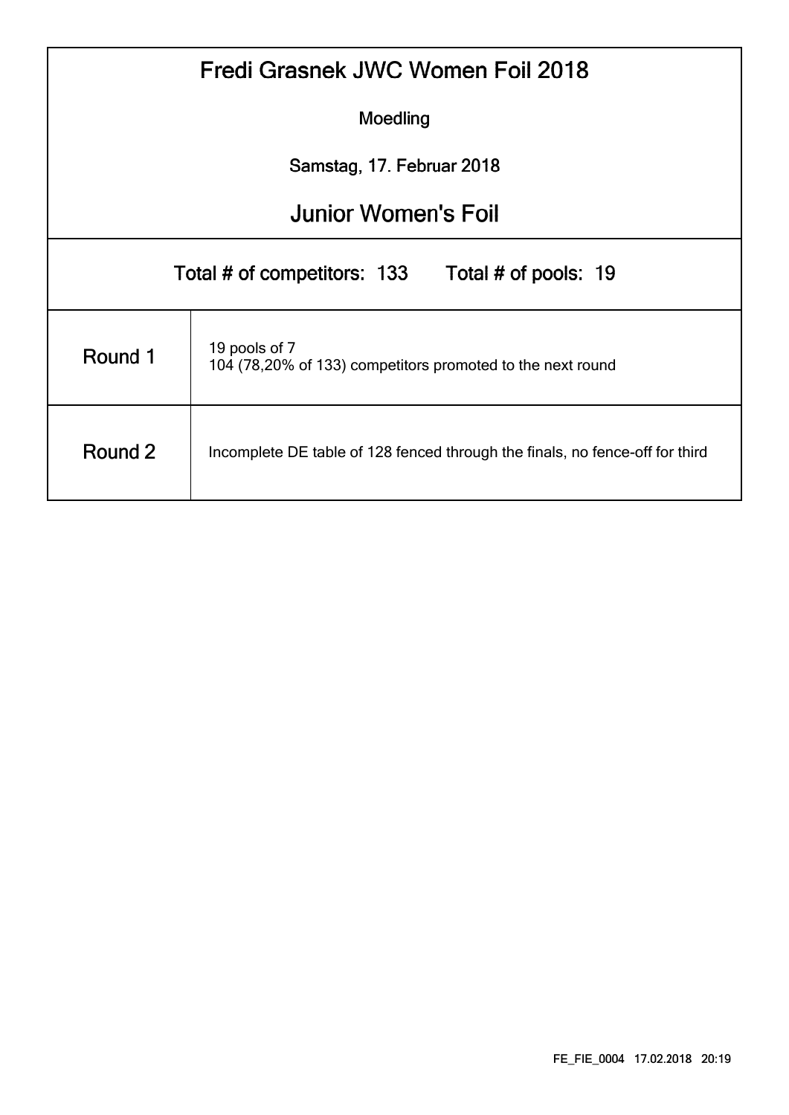|                                                                                         | Fredi Grasnek JWC Women Foil 2018                                           |  |  |  |  |  |  |  |  |  |  |  |
|-----------------------------------------------------------------------------------------|-----------------------------------------------------------------------------|--|--|--|--|--|--|--|--|--|--|--|
|                                                                                         | Moedling                                                                    |  |  |  |  |  |  |  |  |  |  |  |
|                                                                                         | Samstag, 17. Februar 2018                                                   |  |  |  |  |  |  |  |  |  |  |  |
| <b>Junior Women's Foil</b>                                                              |                                                                             |  |  |  |  |  |  |  |  |  |  |  |
|                                                                                         | Total # of competitors: 133 Total # of pools: 19                            |  |  |  |  |  |  |  |  |  |  |  |
| Round 1                                                                                 | 19 pools of 7<br>104 (78,20% of 133) competitors promoted to the next round |  |  |  |  |  |  |  |  |  |  |  |
| Round 2<br>Incomplete DE table of 128 fenced through the finals, no fence-off for third |                                                                             |  |  |  |  |  |  |  |  |  |  |  |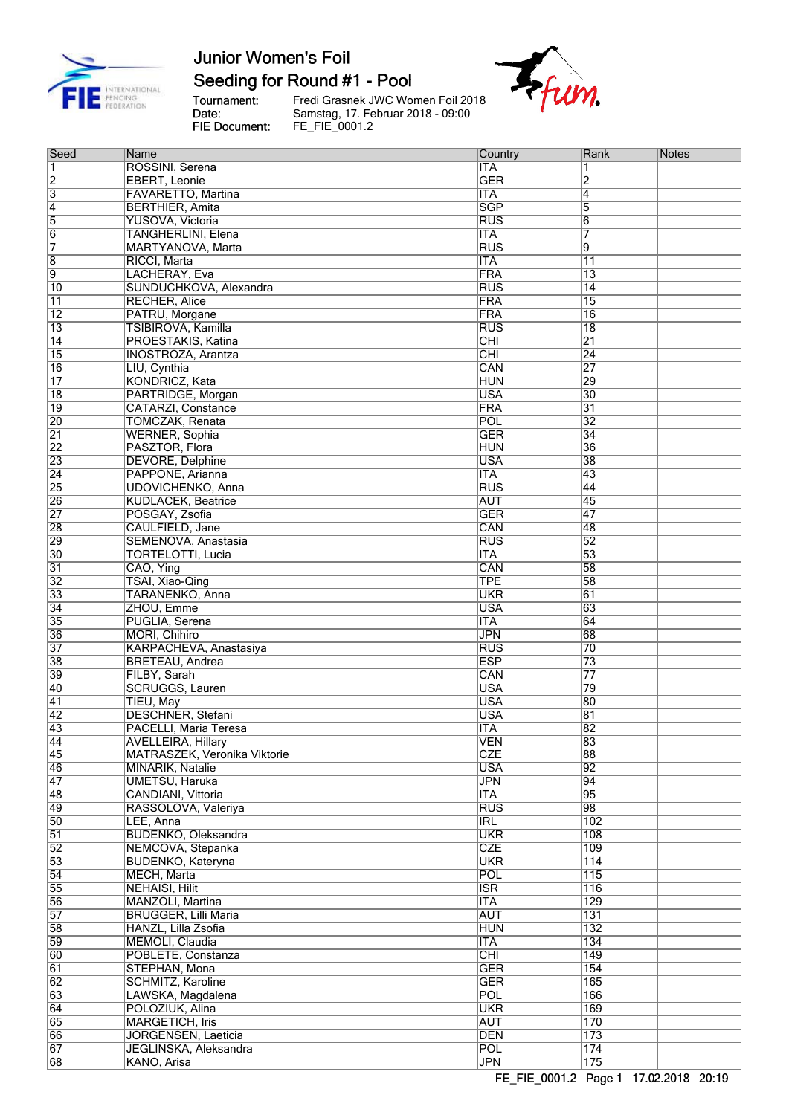

## Seeding for Round #1 - Pool

Tournament:<br>Date:<br>FIE Document:

Fredi Grasnek JWC Women Foil 2018<br>Samstag, 17. Februar 2018 - 09:00<br>FE\_FIE\_0001.2



| Seed                    | Name                                      | Country                                 | Rank            | Notes |
|-------------------------|-------------------------------------------|-----------------------------------------|-----------------|-------|
| $\overline{\mathbf{1}}$ | ROSSINI, Serena                           | <b>ITA</b>                              | 1               |       |
| $\overline{2}$          | EBERT, Leonie                             | <b>GER</b>                              | 2               |       |
| $\overline{3}$          | FAVARETTO, Martina                        | <b>ITA</b>                              | $\overline{4}$  |       |
| $\overline{4}$          | <b>BERTHIER, Amita</b>                    | <b>SGP</b>                              | $\overline{5}$  |       |
| 5                       | YUSOVA, Victoria                          | <b>RUS</b>                              | 6               |       |
| $\overline{6}$          | <b>TANGHERLINI</b> , Elena                | <b>ITA</b>                              | 7               |       |
| 7                       | MARTYANOVA, Marta                         | $\overline{RUS}$                        | 9               |       |
| $\overline{\mathbf{8}}$ | RICCI, Marta                              | <b>ITA</b>                              | $\overline{11}$ |       |
| 9                       | LACHERAY, Eva                             | FRA                                     | $\overline{13}$ |       |
| 10                      | SUNDUCHKOVA, Alexandra                    | RUS                                     | 14              |       |
| $\overline{11}$         | <b>RECHER, Alice</b>                      | <b>FRA</b>                              | $\overline{15}$ |       |
| $\overline{12}$         | PATRU, Morgane                            | <b>FRA</b>                              | $\overline{16}$ |       |
| $\overline{13}$         | TSIBIROVA, Kamilla                        | <b>RUS</b>                              | $\overline{18}$ |       |
| $\overline{14}$         | PROESTAKIS, Katina                        | CHI                                     | $\overline{21}$ |       |
| 15                      | <b>INOSTROZA, Arantza</b>                 | <b>CHI</b>                              | $\overline{24}$ |       |
| 16                      | LIU, Cynthia                              | CAN                                     | 27              |       |
| $\overline{17}$         | <b>KONDRICZ, Kata</b>                     | <b>HUN</b>                              | 29              |       |
| 18                      | PARTRIDGE, Morgan                         | <b>USA</b>                              | $ 30\rangle$    |       |
| $\overline{19}$         | <b>CATARZI, Constance</b>                 | <b>FRA</b>                              | $\overline{31}$ |       |
| $\overline{20}$         | <b>TOMCZAK, Renata</b>                    | POL                                     | $\overline{32}$ |       |
| $\overline{21}$         | <b>WERNER, Sophia</b>                     | <b>GER</b>                              | $\overline{34}$ |       |
| $\overline{22}$         | PASZTOR, Flora                            | <b>HUN</b>                              | 36              |       |
| 23                      | <b>DEVORE, Delphine</b>                   | <b>USA</b>                              | 38              |       |
| $\overline{24}$         | PAPPONE, Arianna                          | <b>ITA</b>                              | 43              |       |
| 25                      | <b>UDOVICHENKO, Anna</b>                  | <b>RUS</b>                              | 44              |       |
| 26                      | <b>KUDLACEK, Beatrice</b>                 | <b>AUT</b>                              | 45              |       |
| $\overline{27}$         | POSGAY, Zsofia                            | <b>GER</b>                              | 47              |       |
| 28                      | CAULFIELD, Jane                           | CAN                                     | 48              |       |
| 29                      | SEMENOVA, Anastasia                       | <b>RUS</b>                              | 52              |       |
| 30                      | <b>TORTELOTTI, Lucia</b>                  | <b>ITA</b>                              | 53              |       |
| $\overline{31}$         | CAO, Ying                                 | CAN                                     | 58              |       |
| $\overline{32}$         | TSAI, Xiao-Qing                           | TPE                                     | 58              |       |
| 33                      | TARANENKO, Anna                           | <b>UKR</b>                              | $\overline{61}$ |       |
| $\overline{34}$         | ZHOU, Emme                                | <b>USA</b>                              | 63              |       |
| 35                      | PUGLIA, Serena                            | <b>ITA</b>                              | 64              |       |
| 36                      | MORI, Chihiro                             | <b>JPN</b>                              | 68              |       |
| $\overline{37}$         | KARPACHEVA, Anastasiya                    | <b>RUS</b>                              | 70              |       |
| 38                      | <b>BRETEAU, Andrea</b>                    | <b>ESP</b>                              | 73              |       |
| 39                      | FILBY, Sarah                              | CAN                                     | $\overline{77}$ |       |
| 40                      | <b>SCRUGGS, Lauren</b>                    | <b>USA</b>                              | 79              |       |
| $\overline{41}$         | TIEU, May                                 | <b>USA</b>                              | 80              |       |
| $\overline{42}$         | <b>DESCHNER, Stefani</b>                  | <b>USA</b>                              | $\overline{81}$ |       |
| 43                      | PACELLI, Maria Teresa                     | <b>ITA</b>                              | 82              |       |
| 44                      | <b>AVELLEIRA, Hillary</b>                 | VEN                                     | 83              |       |
| $\overline{45}$         | MATRASZEK, Veronika Viktorie              | <b>CZE</b>                              | 88              |       |
| 46                      | MINARIK, Natalie                          | <b>USA</b>                              | 92              |       |
| $\overline{47}$         | <b>UMETSU, Haruka</b>                     | <b>JPN</b>                              | $\overline{94}$ |       |
| 48                      | CANDIANI, Vittoria                        | $\overline{\mathsf{ITA}}$               | 95              |       |
| 49                      | RASSOLOVA, Valeriya                       | <b>RUS</b>                              | 98              |       |
| 50                      | LEE, Anna                                 | IRL                                     | 102             |       |
| $\overline{51}$         | <b>BUDENKO, Oleksandra</b>                | <b>UKR</b>                              | 108             |       |
| $\overline{52}$         | NEMCOVA, Stepanka                         | <b>CZE</b>                              | 109             |       |
| 53                      | BUDENKO, Kateryna                         | <b>UKR</b><br>POL                       | 114<br>115      |       |
| $\overline{54}$         | <b>MECH, Marta</b>                        |                                         |                 |       |
| 55                      | <b>NEHAISI, Hilit</b><br>MANZOLI, Martina | <b>ISR</b>                              | 116             |       |
| 56<br>57                | <b>BRUGGER, Lilli Maria</b>               | <b>ITA</b><br><b>AUT</b>                | 129<br>131      |       |
|                         |                                           |                                         |                 |       |
| 58<br>59                | HANZL, Lilla Zsofia<br>MEMOLI, Claudia    | <b>HUN</b><br>$\overline{\mathsf{ITA}}$ | 132<br>134      |       |
| 60                      | POBLETE, Constanza                        | $\overline{CHI}$                        | 149             |       |
| $\overline{61}$         | STEPHAN, Mona                             | <b>GER</b>                              | 154             |       |
| $\overline{62}$         | <b>SCHMITZ, Karoline</b>                  | <b>GER</b>                              | 165             |       |
| 63                      | LAWSKA, Magdalena                         | POL                                     | 166             |       |
| 64                      | POLOZIUK, Alina                           | <b>UKR</b>                              | 169             |       |
| 65                      | <b>MARGETICH, Iris</b>                    | <b>AUT</b>                              | 170             |       |
| 66                      | <b>JORGENSEN, Laeticia</b>                | <b>DEN</b>                              | 173             |       |
| 67                      | JEGLINSKA, Aleksandra                     | <b>POL</b>                              | 174             |       |
| 68                      | KANO, Arisa                               | <b>JPN</b>                              | 175             |       |
|                         |                                           |                                         |                 |       |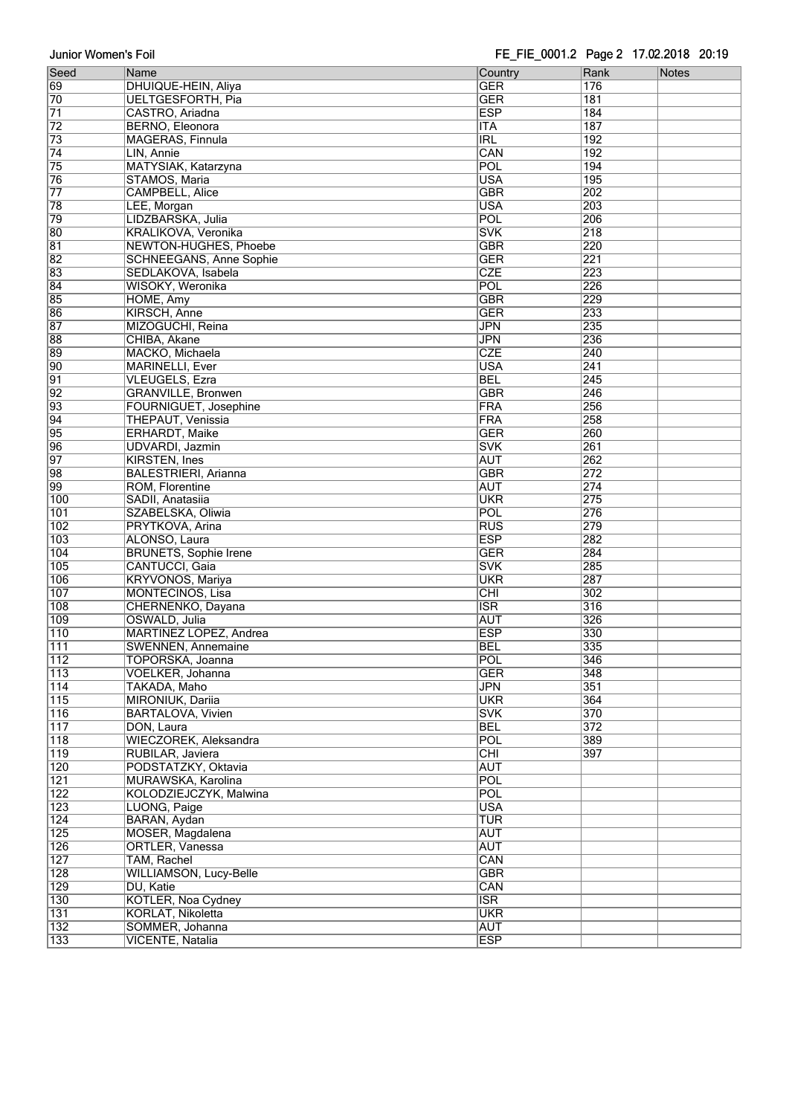| Seed             | Name                           | Country                 | Rank<br>Notes    |
|------------------|--------------------------------|-------------------------|------------------|
| 69               | DHUIQUE-HEIN, Aliya            | <b>GER</b>              | 176              |
| 70               | <b>UELTGESFORTH, Pia</b>       | <b>GER</b>              | 181              |
| $\overline{71}$  | CASTRO, Ariadna                | <b>ESP</b>              | $\overline{184}$ |
| $\overline{72}$  | BERNO, Eleonora                | <b>ITA</b>              | 187              |
| 73               | MAGERAS, Finnula               | $\overline{IRL}$        | 192              |
|                  |                                |                         |                  |
| 74               | LIN, Annie                     | CAN                     | 192              |
| 75               | MATYSIAK, Katarzyna            | POL                     | 194              |
| 76               | STAMOS, Maria                  | <b>USA</b>              | 195              |
| $\overline{77}$  | <b>CAMPBELL, Alice</b>         | <b>GBR</b>              | 202              |
| 78               | LEE, Morgan                    | <b>USA</b>              | 203              |
| 79               | LIDZBARSKA, Julia              | POL                     | 206              |
| 80               | KRALIKOVA, Veronika            | <b>SVK</b>              | $\overline{218}$ |
|                  |                                |                         |                  |
| 81               | <b>NEWTON-HUGHES, Phoebe</b>   | <b>GBR</b>              | 220              |
| 82               | <b>SCHNEEGANS, Anne Sophie</b> | <b>GER</b>              | 221              |
| 83               | SEDLAKOVA, Isabela             | <b>CZE</b>              | 223              |
| 84               | WISOKY, Weronika               | POL                     | 226              |
| 85               | HOME, Amy                      | <b>GBR</b>              | 229              |
| 86               | KIRSCH, Anne                   | <b>GER</b>              | 233              |
| 87               | MIZOGUCHI, Reina               | <b>JPN</b>              | 235              |
|                  |                                |                         |                  |
| 88               | CHIBA, Akane                   | <b>JPN</b>              | 236              |
| 89               | MACKO, Michaela                | <b>CZE</b>              | 240              |
| 90               | <b>MARINELLI, Ever</b>         | <b>USA</b>              | $\overline{241}$ |
| $\overline{91}$  | <b>VLEUGELS, Ezra</b>          | <b>BEL</b>              | 245              |
| $\overline{92}$  | <b>GRANVILLE, Bronwen</b>      | <b>GBR</b>              | 246              |
| 93               | FOURNIGUET, Josephine          | <b>FRA</b>              | 256              |
|                  |                                |                         |                  |
| 94               | <b>THEPAUT, Venissia</b>       | <b>FRA</b>              | 258              |
| 95               | <b>ERHARDT, Maike</b>          | <b>GER</b>              | 260              |
| $\overline{96}$  | <b>UDVARDI</b> , Jazmin        | <b>SVK</b>              | 261              |
| $\overline{97}$  | <b>KIRSTEN, Ines</b>           | <b>AUT</b>              | 262              |
| 98               | <b>BALESTRIERI, Arianna</b>    | <b>GBR</b>              | 272              |
| 99               | <b>ROM, Florentine</b>         | <b>AUT</b>              | $\overline{274}$ |
| 100              | SADII, Anatasiia               | <b>UKR</b>              |                  |
|                  |                                |                         | 275              |
| 101              | SZABELSKA, Oliwia              | POL                     | 276              |
| $\overline{102}$ | PRYTKOVA, Arina                | $\overline{RUS}$        | 279              |
| 103              | ALONSO, Laura                  | <b>ESP</b>              | 282              |
| 104              | <b>BRUNETS, Sophie Irene</b>   | <b>GER</b>              | 284              |
| 105              | CANTUCCI, Gaia                 | <b>SVK</b>              | 285              |
| $\overline{106}$ | <b>KRYVONOS, Mariya</b>        | <b>UKR</b>              | 287              |
|                  |                                |                         |                  |
| 107              | <b>MONTECINOS, Lisa</b>        | CHI                     | 302              |
| 108              | CHERNENKO, Dayana              | $\overline{\text{ISR}}$ | 316              |
| 109              | OSWALD, Julia                  | <b>AUT</b>              | 326              |
| 110              | <b>MARTINEZ LOPEZ, Andrea</b>  | <b>ESP</b>              | 330              |
| 111              | <b>SWENNEN, Annemaine</b>      | <b>BEL</b>              | 335              |
| 112              | TOPORSKA, Joanna               | POL                     | 346              |
| 113              | VOELKER, Johanna               | <b>GER</b>              | 348              |
|                  |                                |                         |                  |
| $\overline{114}$ | TAKADA, Maho                   | <b>JPN</b>              | 351              |
| $\overline{115}$ | MIRONIUK, Dariia               | <b>UKR</b>              | 364              |
| 116              | <b>BARTALOVA, Vivien</b>       | <b>SVK</b>              | 370              |
| $\overline{117}$ | DON, Laura                     | <b>BEL</b>              | 372              |
| $\overline{118}$ | WIECZOREK, Aleksandra          | <b>POL</b>              | 389              |
| $\overline{119}$ | RUBILAR, Javiera               | $\overline{CHI}$        | 397              |
|                  |                                |                         |                  |
| 120              | PODSTATZKY, Oktavia            | <b>AUT</b>              |                  |
| 121              | MURAWSKA, Karolina             | POL                     |                  |
| 122              | KOLODZIEJCZYK, Malwina         | <b>POL</b>              |                  |
| 123              | LUONG, Paige                   | <b>USA</b>              |                  |
| 124              | BARAN, Aydan                   | <b>TUR</b>              |                  |
| 125              | MOSER, Magdalena               | <b>AUT</b>              |                  |
| 126              |                                | <b>AUT</b>              |                  |
|                  | ORTLER, Vanessa                |                         |                  |
| 127              | TAM, Rachel                    | CAN                     |                  |
| $\overline{128}$ | <b>WILLIAMSON, Lucy-Belle</b>  | <b>GBR</b>              |                  |
| 129              | DU, Katie                      | CAN                     |                  |
| 130              | <b>KOTLER, Noa Cydney</b>      | $\overline{\text{ISR}}$ |                  |
| 131              | KORLAT, Nikoletta              | <b>UKR</b>              |                  |
| 132              | SOMMER, Johanna                | <b>AUT</b>              |                  |
|                  |                                |                         |                  |
| 133              | <b>VICENTE, Natalia</b>        | <b>ESP</b>              |                  |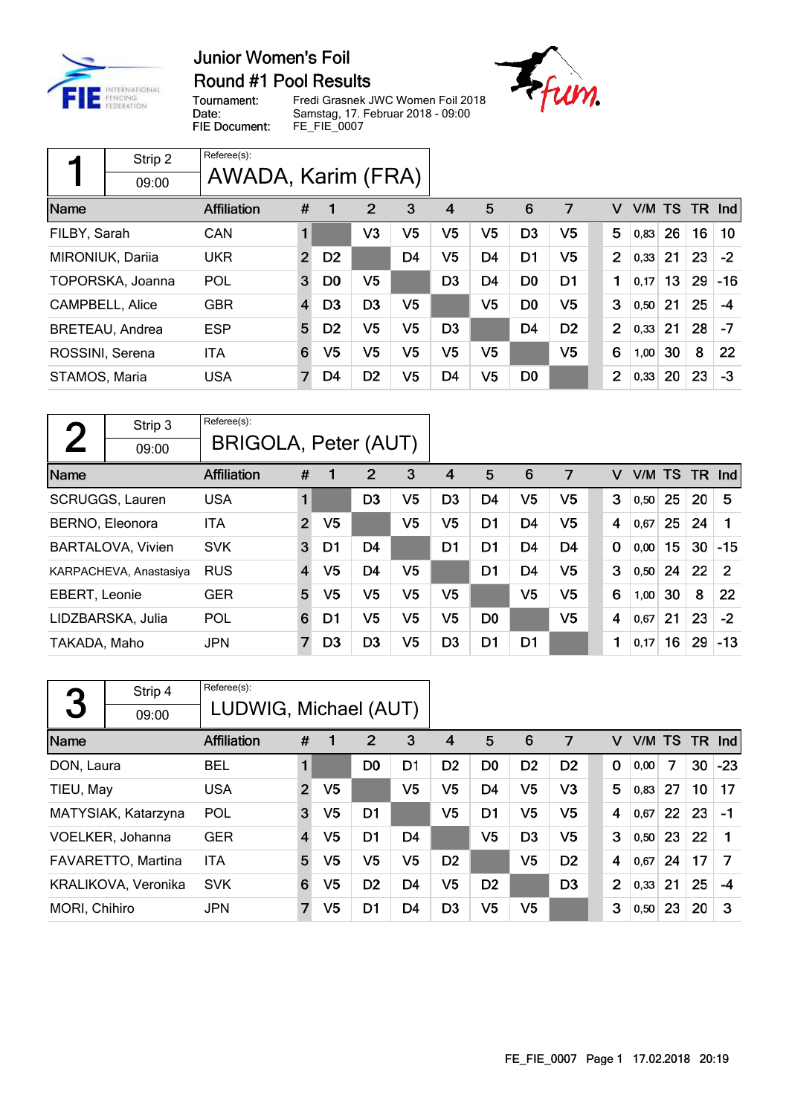

## Round #1 Pool Results

Tournament: Date: FIE Document:

Fredi Grasnek JWC Women Foil 2018 Samstag, 17. Februar 2018 - 09:00<br>Samstag, 17. Februar 2018 - 09:00<br>FE\_FIE\_0007



|                 | Strip 2                | Referee(s):        |                |                |                |                |                |                |                |                |                |      |    |    |        |
|-----------------|------------------------|--------------------|----------------|----------------|----------------|----------------|----------------|----------------|----------------|----------------|----------------|------|----|----|--------|
|                 | 09:00                  | AWADA, Karim (FRA) |                |                |                |                |                |                |                |                |                |      |    |    |        |
| Name            |                        | Affiliation        | #              |                | $\overline{2}$ | 3              | 4              | 5              | 6              | 7              | v              | V/M  | TS |    | TR Ind |
| FILBY, Sarah    |                        | CAN                | $\blacksquare$ |                | V3             | V5             | V <sub>5</sub> | V <sub>5</sub> | D <sub>3</sub> | V5             | 5              | 0.83 | 26 | 16 | 10     |
|                 | MIRONIUK, Dariia       | <b>UKR</b>         | $\overline{2}$ | D <sub>2</sub> |                | D <sub>4</sub> | V5             | D <sub>4</sub> | D <sub>1</sub> | V5             | $\overline{2}$ | 0,33 | 21 | 23 | $-2$   |
|                 | TOPORSKA, Joanna       | POL                | 3              | D0             | V <sub>5</sub> |                | D <sub>3</sub> | D <sub>4</sub> | D <sub>0</sub> | D <sub>1</sub> | 1              | 0,17 | 13 | 29 | $-16$  |
|                 | <b>CAMPBELL, Alice</b> | <b>GBR</b>         | $\overline{4}$ | D <sub>3</sub> | D <sub>3</sub> | V5             |                | V <sub>5</sub> | D <sub>0</sub> | V5             | 3              | 0,50 | 21 | 25 | -4     |
|                 | <b>BRETEAU, Andrea</b> | <b>ESP</b>         | 5              | D <sub>2</sub> | V5             | V <sub>5</sub> | D <sub>3</sub> |                | D <sub>4</sub> | D <sub>2</sub> | $\overline{2}$ | 0,33 | 21 | 28 | -7     |
| ROSSINI, Serena |                        | <b>ITA</b>         | 6              | V <sub>5</sub> | V5             | V5             | V5             | V <sub>5</sub> |                | V <sub>5</sub> | 6              | 1,00 | 30 | 8  | 22     |
| STAMOS, Maria   |                        | <b>USA</b>         | 7              | D4             | D <sub>2</sub> | V5             | D4             | V <sub>5</sub> | D <sub>0</sub> |                | 2              | 0,33 | 20 | 23 | $-3$   |

| η             | Strip 3                  | Referee(s):          |                         |                |                |    |                |                |                |                |             |        |    |     |            |
|---------------|--------------------------|----------------------|-------------------------|----------------|----------------|----|----------------|----------------|----------------|----------------|-------------|--------|----|-----|------------|
|               | 09:00                    | BRIGOLA, Peter (AUT) |                         |                |                |    |                |                |                |                |             |        |    |     |            |
| Name          |                          | Affiliation          | #                       |                | $\overline{2}$ | 3  | 4              | 5              | 6              | 7              | v           | V/M TS |    | TR. | <b>Ind</b> |
|               | <b>SCRUGGS, Lauren</b>   | <b>USA</b>           | 1                       |                | D <sub>3</sub> | V5 | D <sub>3</sub> | D <sub>4</sub> | V <sub>5</sub> | V <sub>5</sub> | 3           | 0,50   | 25 | 20  | 5          |
|               | BERNO, Eleonora          | ITA                  | $\overline{2}$          | V <sub>5</sub> |                | V5 | V5             | D <sub>1</sub> | D <sub>4</sub> | V5             | 4           | 0.67   | 25 | 24  |            |
|               | <b>BARTALOVA, Vivien</b> | <b>SVK</b>           | 3                       | D <sub>1</sub> | D <sub>4</sub> |    | D <sub>1</sub> | D <sub>1</sub> | D <sub>4</sub> | D <sub>4</sub> | $\mathbf 0$ | 0,00   | 15 | 30  | $-15$      |
|               | KARPACHEVA, Anastasiya   | <b>RUS</b>           | $\overline{\mathbf{4}}$ | V <sub>5</sub> | D <sub>4</sub> | V5 |                | D <sub>1</sub> | D <sub>4</sub> | V <sub>5</sub> | 3           | 0,50   | 24 | 22  | 2          |
| EBERT, Leonie |                          | <b>GER</b>           | 5                       | V5             | V <sub>5</sub> | V5 | V5             |                | V <sub>5</sub> | V <sub>5</sub> | 6           | 1,00   | 30 | 8   | 22         |
|               | LIDZBARSKA, Julia        | POL                  | 6                       | D1             | V5             | V5 | V <sub>5</sub> | D <sub>0</sub> |                | V <sub>5</sub> | 4           | 0,67   | 21 | 23  | $-2$       |
| TAKADA, Maho  |                          | <b>JPN</b>           | 7                       | D <sub>3</sub> | D <sub>3</sub> | V5 | D <sub>3</sub> | D <sub>1</sub> | D <sub>1</sub> |                | 1           | 0,17   | 16 | 29  | $-13$      |

| 3             | Strip 4<br>09:00    | Referee(s):<br>LUDWIG, Michael (AUT) |                |                |                |                |                |                |                |                |                |        |    |     |       |
|---------------|---------------------|--------------------------------------|----------------|----------------|----------------|----------------|----------------|----------------|----------------|----------------|----------------|--------|----|-----|-------|
| Name          |                     | <b>Affiliation</b>                   | #              | $\mathbf 1$    | 2              | 3              | 4              | 5              | 6              | 7              | v              | V/M TS |    | TR. | Ind   |
| DON, Laura    |                     | <b>BEL</b>                           |                |                | D <sub>0</sub> | D <sub>1</sub> | D <sub>2</sub> | D <sub>0</sub> | D <sub>2</sub> | D <sub>2</sub> | 0              | 0,00   | 7  | 30  | $-23$ |
| TIEU, May     |                     | <b>USA</b>                           | $\overline{2}$ | V <sub>5</sub> |                | V5             | V5             | D <sub>4</sub> | V <sub>5</sub> | V <sub>3</sub> | 5              | 0,83   | 27 | 10  | 17    |
|               | MATYSIAK, Katarzyna | POL                                  | 3              | V <sub>5</sub> | D <sub>1</sub> |                | V5             | D <sub>1</sub> | V <sub>5</sub> | V5             | 4              | 0,67   | 22 | 23  | $-1$  |
|               | VOELKER, Johanna    | <b>GER</b>                           | 4              | V5             | D <sub>1</sub> | D <sub>4</sub> |                | V5             | D <sub>3</sub> | V5             | 3              | 0,50   | 23 | 22  |       |
|               | FAVARETTO, Martina  | <b>ITA</b>                           | 5              | V5             | V <sub>5</sub> | V5             | D <sub>2</sub> |                | V <sub>5</sub> | D <sub>2</sub> | 4              | 0,67   | 24 | 17  | 7     |
|               | KRALIKOVA, Veronika | <b>SVK</b>                           | 6              | V <sub>5</sub> | D <sub>2</sub> | D <sub>4</sub> | V5             | D <sub>2</sub> |                | D <sub>3</sub> | $\overline{2}$ | 0,33   | 21 | 25  | $-4$  |
| MORI, Chihiro |                     | <b>JPN</b>                           | 7              | V <sub>5</sub> | D <sub>1</sub> | D4             | D <sub>3</sub> | V5             | V5             |                | 3              | 0,50   | 23 | 20  | З     |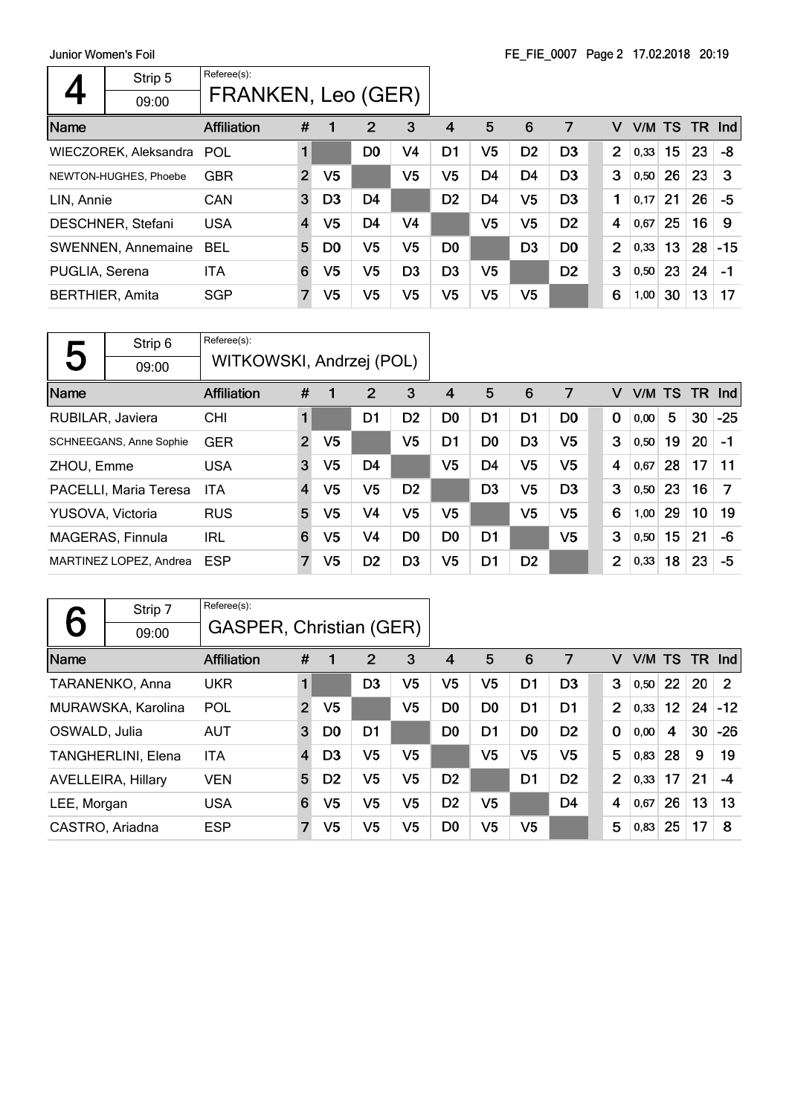|                        | Strip 5<br>09:00          | Referee(s):<br>FRANKEN, Leo (GER) |                |                |                |                |                |                |                |                |                |        |    |        |       |
|------------------------|---------------------------|-----------------------------------|----------------|----------------|----------------|----------------|----------------|----------------|----------------|----------------|----------------|--------|----|--------|-------|
| Name                   |                           | <b>Affiliation</b>                | #              |                | $\overline{2}$ | 3              | 4              | 5              | 6              | 7              | v              | V/M TS |    | TR Ind |       |
|                        | WIECZOREK, Aleksandra     | <b>POL</b>                        | $\blacksquare$ |                | D <sub>0</sub> | V4             | D1             | V <sub>5</sub> | D <sub>2</sub> | D <sub>3</sub> | 2              | 0,33   | 15 | 23     | -8    |
|                        | NEWTON-HUGHES, Phoebe     | <b>GBR</b>                        | $\overline{2}$ | V5             |                | V <sub>5</sub> | V5             | D <sub>4</sub> | D <sub>4</sub> | D <sub>3</sub> | 3              | 0,50   | 26 | 23     | З     |
| LIN, Annie             |                           | <b>CAN</b>                        | 3              | D <sub>3</sub> | D4             |                | D <sub>2</sub> | D <sub>4</sub> | V <sub>5</sub> | D <sub>3</sub> | 1              | 0,17   | 21 | 26     | -5    |
|                        | <b>DESCHNER, Stefani</b>  | <b>USA</b>                        | $\overline{4}$ | V5             | D <sub>4</sub> | V4             |                | V <sub>5</sub> | V <sub>5</sub> | D <sub>2</sub> | $\overline{4}$ | 0,67   | 25 | 16     | 9     |
|                        | <b>SWENNEN, Annemaine</b> | <b>BEL</b>                        | 5              | D <sub>0</sub> | V5             | V5             | D <sub>0</sub> |                | D <sub>3</sub> | D <sub>0</sub> | $\overline{2}$ | 0,33   | 13 | 28     | $-15$ |
| PUGLIA, Serena         |                           | <b>ITA</b>                        | 6              | V5             | V5             | D <sub>3</sub> | D <sub>3</sub> | V5             |                | D <sub>2</sub> | 3              | 0,50   | 23 | 24     | $-1$  |
| <b>BERTHIER, Amita</b> |                           | <b>SGP</b>                        | $\overline{7}$ | V5             | V5             | V5             | V5             | V <sub>5</sub> | V <sub>5</sub> |                | 6              | 1,00   | 30 | 13     | 17    |

|                  | Strip 6                        | Referee(s):              |                |                |                |                |                |                |                |                |                |        |    |                 |       |
|------------------|--------------------------------|--------------------------|----------------|----------------|----------------|----------------|----------------|----------------|----------------|----------------|----------------|--------|----|-----------------|-------|
| 5                | 09:00                          | WITKOWSKI, Andrzej (POL) |                |                |                |                |                |                |                |                |                |        |    |                 |       |
| Name             |                                | <b>Affiliation</b>       | #              | 1              | $\overline{2}$ | 3              | 4              | 5              | 6              | 7              | v              | V/M TS |    | TR.             | Ind   |
| RUBILAR, Javiera |                                | <b>CHI</b>               | 1              |                | D1             | D <sub>2</sub> | D <sub>0</sub> | D <sub>1</sub> | D1             | D <sub>0</sub> | 0              | 0,00   | 5  | 30              | $-25$ |
|                  | <b>SCHNEEGANS, Anne Sophie</b> | <b>GER</b>               | $\overline{2}$ | V5             |                | V5             | D1             | D <sub>0</sub> | D <sub>3</sub> | V <sub>5</sub> | 3              | 0,50   | 19 | 20              | -1    |
| ZHOU, Emme       |                                | <b>USA</b>               | 3              | V <sub>5</sub> | D <sub>4</sub> |                | V5             | D <sub>4</sub> | V5             | V5             | 4              | 0.67   | 28 | 17              | 11    |
|                  | PACELLI, Maria Teresa          | <b>ITA</b>               | 4              | V5             | V <sub>5</sub> | D <sub>2</sub> |                | D <sub>3</sub> | V <sub>5</sub> | D <sub>3</sub> | 3              | 0,50   | 23 | 16              | 7     |
| YUSOVA, Victoria |                                | <b>RUS</b>               | 5              | V5             | V <sub>4</sub> | V5             | V5             |                | V <sub>5</sub> | V5             | 6              | 1,00   | 29 | 10 <sub>1</sub> | 19    |
|                  | MAGERAS, Finnula               | <b>IRL</b>               | 6              | V5             | V4             | D0             | D <sub>0</sub> | D <sub>1</sub> |                | V5             | 3              | 0,50   | 15 | 21              | $-6$  |
|                  | MARTINEZ LOPEZ, Andrea         | <b>ESP</b>               | 7              | V <sub>5</sub> | D <sub>2</sub> | D <sub>3</sub> | V <sub>5</sub> | D <sub>1</sub> | D <sub>2</sub> |                | $\overline{2}$ | 0,33   | 18 | 23              | -5    |

|                 | Strip 7                   | Referee(s):             |                |                |                |                |                |                |                |                |                |      |                 |    |                |
|-----------------|---------------------------|-------------------------|----------------|----------------|----------------|----------------|----------------|----------------|----------------|----------------|----------------|------|-----------------|----|----------------|
|                 | 09:00                     | GASPER, Christian (GER) |                |                |                |                |                |                |                |                |                |      |                 |    |                |
| Name            |                           | <b>Affiliation</b>      | #              | 1              | 2              | 3              | 4              | 5              | 6              | 7              | v              |      |                 |    | V/M TS TR Ind  |
|                 | TARANENKO, Anna           | UKR                     |                |                | D <sub>3</sub> | V <sub>5</sub> | V <sub>5</sub> | V <sub>5</sub> | D1             | D <sub>3</sub> | 3              | 0,50 | 22              | 20 | $\overline{2}$ |
|                 | MURAWSKA, Karolina        | POL                     | $\overline{2}$ | V <sub>5</sub> |                | V <sub>5</sub> | D <sub>0</sub> | D <sub>0</sub> | D <sub>1</sub> | D1             | $\overline{2}$ | 0,33 | 12 <sub>2</sub> | 24 | $-12$          |
| OSWALD, Julia   |                           | <b>AUT</b>              | 3              | D <sub>0</sub> | D <sub>1</sub> |                | D <sub>0</sub> | D <sub>1</sub> | D <sub>0</sub> | D <sub>2</sub> | $\mathbf 0$    | 0,00 | 4               | 30 | $-26$          |
|                 | TANGHERLINI, Elena        | <b>ITA</b>              | $\overline{4}$ | D <sub>3</sub> | V <sub>5</sub> | V <sub>5</sub> |                | V <sub>5</sub> | V <sub>5</sub> | V <sub>5</sub> | 5              | 0,83 | 28              | 9  | 19             |
|                 | <b>AVELLEIRA, Hillary</b> | <b>VEN</b>              | 5              | D <sub>2</sub> | V <sub>5</sub> | V <sub>5</sub> | D <sub>2</sub> |                | D1             | D <sub>2</sub> | $\overline{2}$ | 0,33 | 17              | 21 | -4             |
| LEE, Morgan     |                           | <b>USA</b>              | 6              | V5             | V5             | V5             | D <sub>2</sub> | V5             |                | D <sub>4</sub> | 4              | 0,67 | 26              | 13 | 13             |
| CASTRO, Ariadna |                           | <b>ESP</b>              | $\overline{7}$ | V5             | V <sub>5</sub> | V5             | D <sub>0</sub> | V <sub>5</sub> | V <sub>5</sub> |                | 5              | 0,83 | 25              | 17 | 8              |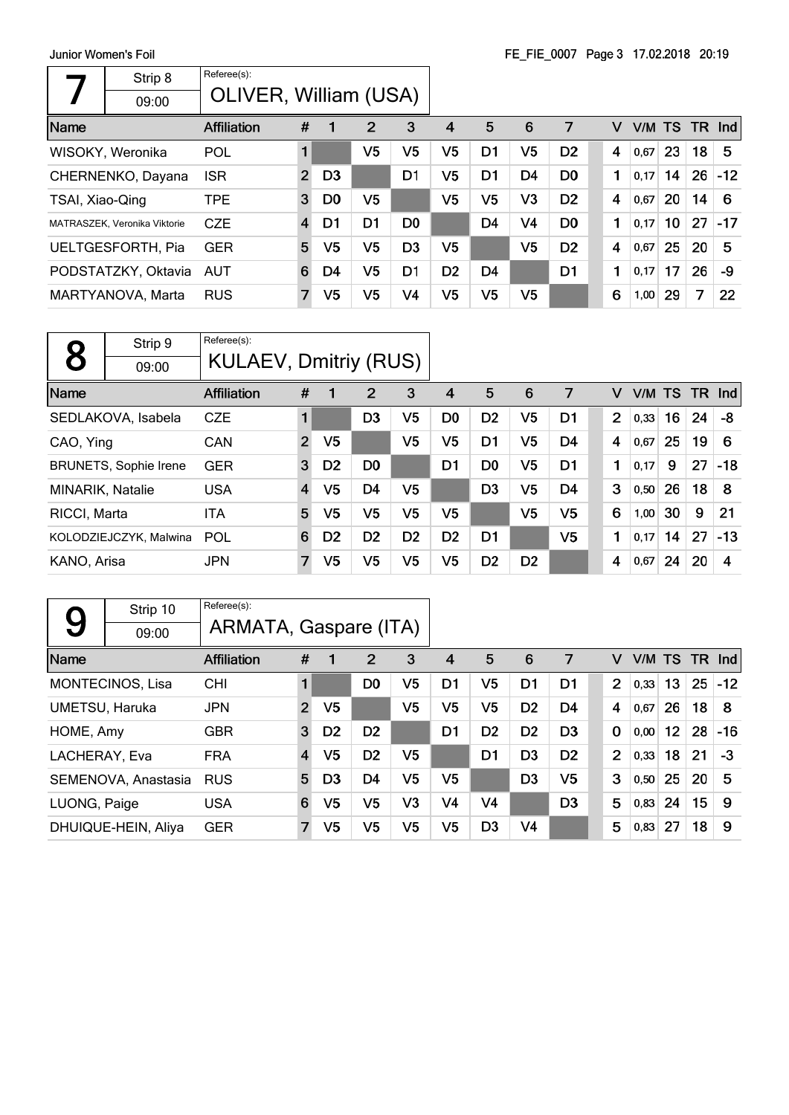|                 | Strip 8                      | Referee(s):           |                         |                |                |                |                |                |                |                |   |        |    |      |       |
|-----------------|------------------------------|-----------------------|-------------------------|----------------|----------------|----------------|----------------|----------------|----------------|----------------|---|--------|----|------|-------|
|                 | 09:00                        | OLIVER, William (USA) |                         |                |                |                |                |                |                |                |   |        |    |      |       |
| Name            |                              | <b>Affiliation</b>    | #                       | 1              | $\overline{2}$ | 3              | 4              | 5              | 6              | 7              | v | V/M TS |    | TR . | Ind   |
|                 | WISOKY, Weronika             | <b>POL</b>            |                         |                | V <sub>5</sub> | V5             | V <sub>5</sub> | D1             | V5             | D <sub>2</sub> | 4 | 0,67   | 23 | 18   | 5     |
|                 | CHERNENKO, Dayana            | <b>ISR</b>            | $\overline{2}$          | D <sub>3</sub> |                | D1             | V <sub>5</sub> | D <sub>1</sub> | D <sub>4</sub> | D <sub>0</sub> | 1 | 0,17   | 14 | 26   | $-12$ |
| TSAI, Xiao-Qing |                              | <b>TPE</b>            | 3                       | D <sub>0</sub> | V5             |                | V5             | V5             | V3             | D <sub>2</sub> | 4 | 0,67   | 20 | 14   | 6     |
|                 | MATRASZEK, Veronika Viktorie | <b>CZE</b>            | $\overline{\mathbf{4}}$ | D1             | D <sub>1</sub> | D <sub>0</sub> |                | D <sub>4</sub> | V <sub>4</sub> | D <sub>0</sub> | 1 | 0,17   | 10 | 27   | $-17$ |
|                 | UELTGESFORTH, Pia            | <b>GER</b>            | 5                       | V <sub>5</sub> | V <sub>5</sub> | D <sub>3</sub> | V5             |                | V5             | D <sub>2</sub> | 4 | 0,67   | 25 | 20   | 5     |
|                 | PODSTATZKY, Oktavia          | AUT                   | 6                       | D4             | V <sub>5</sub> | D <sub>1</sub> | D <sub>2</sub> | D <sub>4</sub> |                | D <sub>1</sub> | 1 | 0,17   | 17 | 26   | -9    |
|                 | MARTYANOVA, Marta            | <b>RUS</b>            | 7                       | V <sub>5</sub> | V <sub>5</sub> | V <sub>4</sub> | V <sub>5</sub> | V5             | V <sub>5</sub> |                | 6 | 1,00   | 29 | 7    | 22    |

|                         | Strip 9                      | Referee(s):                  |                |                |                |                |                |                |                |                |   |        |    |        |       |
|-------------------------|------------------------------|------------------------------|----------------|----------------|----------------|----------------|----------------|----------------|----------------|----------------|---|--------|----|--------|-------|
|                         | 09:00                        | <b>KULAEV, Dmitriy (RUS)</b> |                |                |                |                |                |                |                |                |   |        |    |        |       |
| Name                    |                              | <b>Affiliation</b>           | #              |                | 2              | 3              | 4              | 5              | 6              | 7              | v | V/M TS |    | TR Ind |       |
|                         | SEDLAKOVA, Isabela           | <b>CZE</b>                   | 1              |                | D3             | V <sub>5</sub> | D <sub>0</sub> | D <sub>2</sub> | V <sub>5</sub> | D1             | 2 | 0,33   | 16 | 24     | -8    |
| CAO, Ying               |                              | <b>CAN</b>                   | $\overline{2}$ | V <sub>5</sub> |                | V <sub>5</sub> | V5             | D <sub>1</sub> | V <sub>5</sub> | D4             | 4 | 0,67   | 25 | 19     | 6     |
|                         | <b>BRUNETS, Sophie Irene</b> | <b>GER</b>                   | 3              | D <sub>2</sub> | D <sub>0</sub> |                | D <sub>1</sub> | D <sub>0</sub> | V5             | D <sub>1</sub> | 1 | 0,17   | 9  | 27     | $-18$ |
| <b>MINARIK, Natalie</b> |                              | <b>USA</b>                   | 4              | V5             | D4             | V5             |                | D <sub>3</sub> | V <sub>5</sub> | D4             | 3 | 0,50   | 26 | 18     | 8     |
| RICCI, Marta            |                              | <b>ITA</b>                   | 5              | V <sub>5</sub> | V <sub>5</sub> | V5             | V5             |                | V <sub>5</sub> | V5             | 6 | 1,00   | 30 | 9      | 21    |
|                         | KOLODZIEJCZYK, Malwina       | <b>POL</b>                   | 6              | D <sub>2</sub> | D <sub>2</sub> | D <sub>2</sub> | D <sub>2</sub> | D <sub>1</sub> |                | V5             | 1 | 0,17   | 14 | 27     | $-13$ |
| KANO, Arisa             |                              | <b>JPN</b>                   | $\overline{7}$ | V5             | V5             | V5             | V5             | D <sub>2</sub> | D <sub>2</sub> |                | 4 | 0,67   | 24 | 20     | 4     |

|                | Strip 10            | Referee(s):           |                |                |                |                |                |                |                |                |                |      |                 |    |               |
|----------------|---------------------|-----------------------|----------------|----------------|----------------|----------------|----------------|----------------|----------------|----------------|----------------|------|-----------------|----|---------------|
| 9              | 09:00               | ARMATA, Gaspare (ITA) |                |                |                |                |                |                |                |                |                |      |                 |    |               |
| Name           |                     | <b>Affiliation</b>    | #              | 1              | 2              | 3              | 4              | 5              | 6              | 7              | v              |      |                 |    | V/M TS TR Ind |
|                | MONTECINOS, Lisa    | <b>CHI</b>            | $\blacksquare$ |                | D <sub>0</sub> | V <sub>5</sub> | D1             | V <sub>5</sub> | D1             | D1             | $\overline{2}$ | 0,33 | 13              | 25 | $-12$         |
| UMETSU, Haruka |                     | <b>JPN</b>            | $\overline{2}$ | V <sub>5</sub> |                | V <sub>5</sub> | V <sub>5</sub> | V <sub>5</sub> | D <sub>2</sub> | D <sub>4</sub> | 4              | 0,67 | 26              | 18 | 8             |
| HOME, Amy      |                     | <b>GBR</b>            | 3              | D <sub>2</sub> | D <sub>2</sub> |                | D1             | D <sub>2</sub> | D <sub>2</sub> | D <sub>3</sub> | $\mathbf 0$    | 0,00 | 12 <sub>2</sub> | 28 | $-16$         |
| LACHERAY, Eva  |                     | <b>FRA</b>            | 4              | V <sub>5</sub> | D <sub>2</sub> | V5             |                | D <sub>1</sub> | D <sub>3</sub> | D <sub>2</sub> | $\overline{2}$ | 0,33 | 18              | 21 | $-3$          |
|                | SEMENOVA, Anastasia | <b>RUS</b>            | 5              | D <sub>3</sub> | D4             | V <sub>5</sub> | V5             |                | D <sub>3</sub> | V <sub>5</sub> | 3              | 0,50 | 25              | 20 | 5             |
| LUONG, Paige   |                     | <b>USA</b>            | 6              | V <sub>5</sub> | V <sub>5</sub> | V3             | V4             | V <sub>4</sub> |                | D <sub>3</sub> | 5              | 0,83 | 24              | 15 | 9             |
|                | DHUIQUE-HEIN, Aliya | <b>GER</b>            | 7              | V <sub>5</sub> | V <sub>5</sub> | V <sub>5</sub> | V <sub>5</sub> | D <sub>3</sub> | V4             |                | 5              | 0,83 | 27              | 18 | 9             |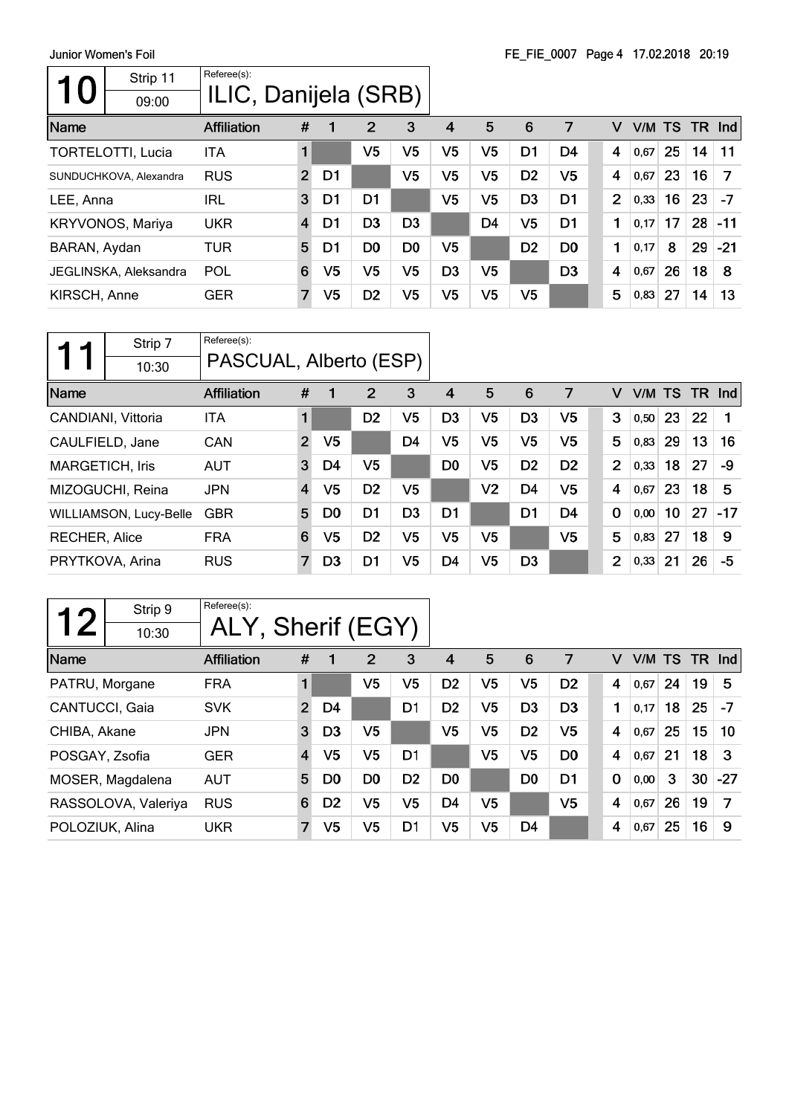| Strip 11<br>$\bf{O}$<br>09:00 | Referee(s):<br>ILIC, Danijela (SRB) |                |                |                |                |                |                |                |                |   |      |    |     |       |
|-------------------------------|-------------------------------------|----------------|----------------|----------------|----------------|----------------|----------------|----------------|----------------|---|------|----|-----|-------|
| Name                          | <b>Affiliation</b>                  | #              |                | $\overline{2}$ | 3              | 4              | 5              | 6              | 7              | v | V/M  | TS | TR. | Ind   |
| <b>TORTELOTTI, Lucia</b>      | <b>ITA</b>                          |                |                | V <sub>5</sub> | V5             | V <sub>5</sub> | V <sub>5</sub> | D1             | D4             | 4 | 0,67 | 25 | 14  | 11    |
| SUNDUCHKOVA, Alexandra        | <b>RUS</b>                          | $\overline{2}$ | D1             |                | V <sub>5</sub> | V <sub>5</sub> | V <sub>5</sub> | D <sub>2</sub> | V5             | 4 | 0,67 | 23 | 16  | 7     |
| LEE, Anna                     | IRL                                 | 3              | D1             | D <sub>1</sub> |                | V <sub>5</sub> | V <sub>5</sub> | D <sub>3</sub> | D <sub>1</sub> | 2 | 0,33 | 16 | 23  | -7    |
| <b>KRYVONOS, Mariya</b>       | <b>UKR</b>                          | $\overline{4}$ | D1             | D <sub>3</sub> | D <sub>3</sub> |                | D <sub>4</sub> | V <sub>5</sub> | D <sub>1</sub> | 1 | 0,17 | 17 | 28  | $-11$ |
| BARAN, Aydan                  | TUR                                 | 5              | D1             | D <sub>0</sub> | D <sub>0</sub> | V <sub>5</sub> |                | D <sub>2</sub> | D <sub>0</sub> | 1 | 0,17 | 8  | 29  | $-21$ |
| JEGLINSKA, Aleksandra         | POL                                 | 6              | V <sub>5</sub> | V <sub>5</sub> | V5             | D <sub>3</sub> | V5             |                | D <sub>3</sub> | 4 | 0,67 | 26 | 18  | 8     |
| KIRSCH, Anne                  | <b>GER</b>                          | $\overline{7}$ | V <sub>5</sub> | D <sub>2</sub> | V5             | V5             | V <sub>5</sub> | V5             |                | 5 | 0,83 | 27 | 14  | 13    |

|                        | Strip 7                | Referee(s):            |                |                |                |                |                |                |                |                |                |        |                 |     |       |
|------------------------|------------------------|------------------------|----------------|----------------|----------------|----------------|----------------|----------------|----------------|----------------|----------------|--------|-----------------|-----|-------|
|                        | 10:30                  | PASCUAL, Alberto (ESP) |                |                |                |                |                |                |                |                |                |        |                 |     |       |
| Name                   |                        | <b>Affiliation</b>     | #              | 1              | 2              | 3              | 4              | 5              | 6              | 7              | v              | V/M TS |                 | TR. | Ind   |
|                        | CANDIANI, Vittoria     | <b>ITA</b>             | 1              |                | D <sub>2</sub> | V5             | D <sub>3</sub> | V <sub>5</sub> | D <sub>3</sub> | V <sub>5</sub> | 3              | 0,50   | 23              | 22  |       |
| CAULFIELD, Jane        |                        | <b>CAN</b>             | 2              | V5             |                | D <sub>4</sub> | V5             | V <sub>5</sub> | V <sub>5</sub> | V <sub>5</sub> | 5              | 0,83   | 29              | 13  | 16    |
| <b>MARGETICH, Iris</b> |                        | <b>AUT</b>             | 3              | D4             | V5             |                | D <sub>0</sub> | V <sub>5</sub> | D <sub>2</sub> | D <sub>2</sub> | $\overline{2}$ | 0,33   | 18              | 27  | -9    |
|                        | MIZOGUCHI, Reina       | <b>JPN</b>             | $\overline{4}$ | V <sub>5</sub> | D <sub>2</sub> | V5             |                | V <sub>2</sub> | D <sub>4</sub> | V <sub>5</sub> | 4              | 0.67   | 23              | 18  | 5     |
|                        | WILLIAMSON, Lucy-Belle | <b>GBR</b>             | 5              | D <sub>0</sub> | D <sub>1</sub> | D <sub>3</sub> | D <sub>1</sub> |                | D <sub>1</sub> | D <sub>4</sub> | 0              | 0,00   | 10 <sup>°</sup> | 27  | $-17$ |
| <b>RECHER, Alice</b>   |                        | <b>FRA</b>             | 6              | V5             | D <sub>2</sub> | V5             | V5             | V5             |                | V <sub>5</sub> | 5              | 0,83   | 27              | 18  | 9     |
|                        | PRYTKOVA, Arina        | <b>RUS</b>             | 7              | D <sub>3</sub> | D <sub>1</sub> | V <sub>5</sub> | D <sub>4</sub> | V5             | D <sub>3</sub> |                | $\overline{2}$ | 0,33   | 21              | 26  | -5    |

| つ               | Strip 9             | Referee(s):        |                |                |                |                |                |                |                |                |             |        |    |           |       |
|-----------------|---------------------|--------------------|----------------|----------------|----------------|----------------|----------------|----------------|----------------|----------------|-------------|--------|----|-----------|-------|
|                 | 10:30               | ALY, Sherif (EGY)  |                |                |                |                |                |                |                |                |             |        |    |           |       |
| Name            |                     | <b>Affiliation</b> | #              | 1              | 2              | 3              | 4              | 5              | 6              | 7              | v           | V/M TS |    | <b>TR</b> | Ind   |
| PATRU, Morgane  |                     | <b>FRA</b>         |                |                | V5             | V5             | D <sub>2</sub> | V5             | V <sub>5</sub> | D <sub>2</sub> | 4           | 0,67   | 24 | 19        | 5     |
| CANTUCCI, Gaia  |                     | <b>SVK</b>         | $\overline{2}$ | D4             |                | D1             | D <sub>2</sub> | V <sub>5</sub> | D <sub>3</sub> | D <sub>3</sub> | 1           | 0.17   | 18 | 25        | $-7$  |
| CHIBA, Akane    |                     | <b>JPN</b>         | 3              | D <sub>3</sub> | V <sub>5</sub> |                | V5             | V5             | D <sub>2</sub> | V5             | 4           | 0,67   | 25 | 15        | 10    |
| POSGAY, Zsofia  |                     | <b>GER</b>         | 4              | V5             | V5             | D <sub>1</sub> |                | V <sub>5</sub> | V <sub>5</sub> | D <sub>0</sub> | 4           | 0,67   | 21 | 18        | 3     |
|                 | MOSER, Magdalena    | <b>AUT</b>         | 5              | D0             | D <sub>0</sub> | D <sub>2</sub> | D0             |                | D <sub>0</sub> | D <sub>1</sub> | $\mathbf 0$ | 0,00   | 3  | 30        | $-27$ |
|                 | RASSOLOVA, Valeriya | <b>RUS</b>         | 6              | D <sub>2</sub> | V5             | V5             | D4             | V <sub>5</sub> |                | V5             | 4           | 0,67   | 26 | 19        | 7     |
| POLOZIUK, Alina |                     | <b>UKR</b>         | $\overline{7}$ | V <sub>5</sub> | V <sub>5</sub> | D1             | V <sub>5</sub> | V <sub>5</sub> | D4             |                | 4           | 0,67   | 25 | 16        | 9     |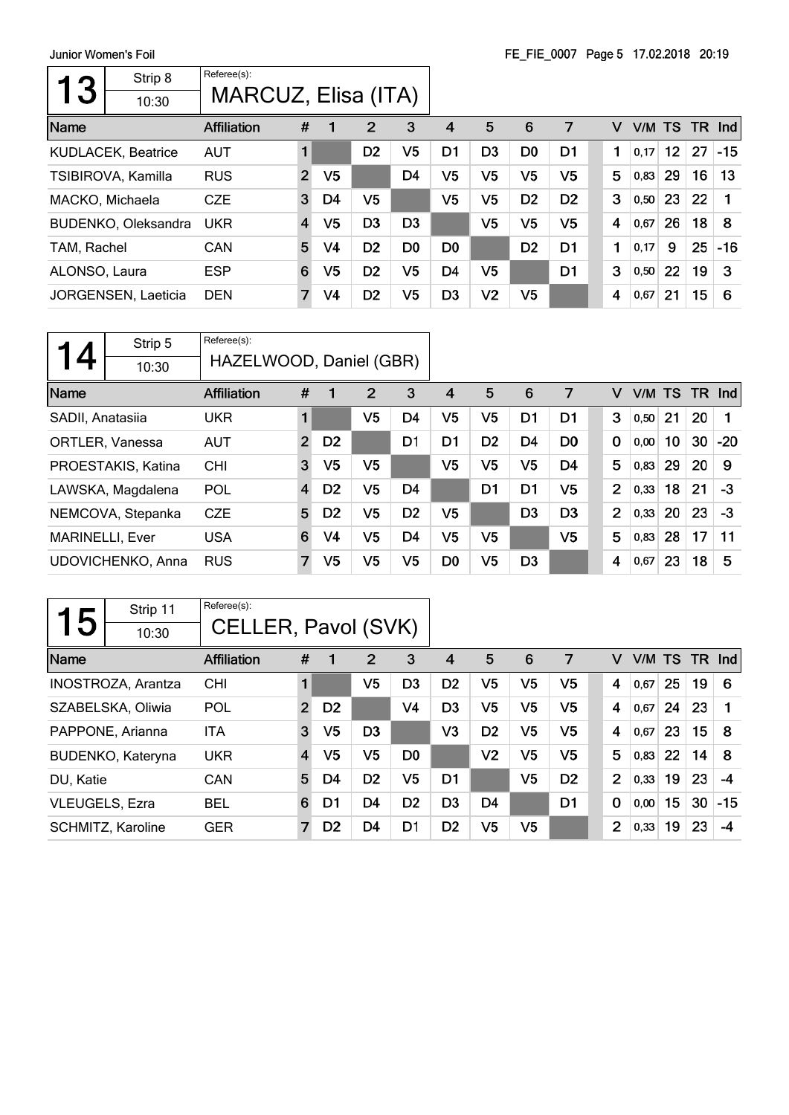| 13            | Strip 8                   | Referee(s):         |                |                |                |                |                |                |                |                |   |           |                 |    |       |
|---------------|---------------------------|---------------------|----------------|----------------|----------------|----------------|----------------|----------------|----------------|----------------|---|-----------|-----------------|----|-------|
|               | 10:30                     | MARCUZ, Elisa (ITA) |                |                |                |                |                |                |                |                |   |           |                 |    |       |
| Name          |                           | <b>Affiliation</b>  | #              |                | 2              | 3              | 4              | 5              | 6              | 7              | v | V/M TS TR |                 |    | Ind   |
|               | <b>KUDLACEK, Beatrice</b> | <b>AUT</b>          | 1              |                | D <sub>2</sub> | V5             | D <sub>1</sub> | D <sub>3</sub> | D <sub>0</sub> | D <sub>1</sub> | 1 | 0,17      | 12 <sup>°</sup> | 27 | $-15$ |
|               | TSIBIROVA, Kamilla        | <b>RUS</b>          | $\overline{2}$ | V5             |                | D <sub>4</sub> | V <sub>5</sub> | V <sub>5</sub> | V <sub>5</sub> | V <sub>5</sub> | 5 | 0,83      | 29              | 16 | 13    |
|               | MACKO, Michaela           | <b>CZE</b>          | 3              | D4             | V <sub>5</sub> |                | V <sub>5</sub> | V <sub>5</sub> | D <sub>2</sub> | D <sub>2</sub> | 3 | 0,50      | 23              | 22 |       |
|               | BUDENKO, Oleksandra       | <b>UKR</b>          | $\overline{4}$ | V <sub>5</sub> | D <sub>3</sub> | D <sub>3</sub> |                | V <sub>5</sub> | V <sub>5</sub> | V <sub>5</sub> | 4 | 0,67      | 26              | 18 | 8     |
| TAM, Rachel   |                           | CAN                 | 5              | V4             | D <sub>2</sub> | D <sub>0</sub> | D <sub>0</sub> |                | D <sub>2</sub> | D <sub>1</sub> | 1 | 0,17      | 9               | 25 | $-16$ |
| ALONSO, Laura |                           | <b>ESP</b>          | 6              | V5             | D <sub>2</sub> | V5             | D <sub>4</sub> | V <sub>5</sub> |                | D <sub>1</sub> | 3 | 0,50      | 22              | 19 | 3     |
|               | JORGENSEN, Laeticia       | <b>DEN</b>          | $\overline{7}$ | V4             | D <sub>2</sub> | V5             | D <sub>3</sub> | V <sub>2</sub> | V5             |                | 4 | 0,67      | 21              | 15 | 6     |
|               |                           |                     |                |                |                |                |                |                |                |                |   |           |                 |    |       |

|                        | Strip 5            | Referee(s):             |                |                |    |                |                |                |                |                |                |        |    |           |       |
|------------------------|--------------------|-------------------------|----------------|----------------|----|----------------|----------------|----------------|----------------|----------------|----------------|--------|----|-----------|-------|
| 4                      | 10:30              | HAZELWOOD, Daniel (GBR) |                |                |    |                |                |                |                |                |                |        |    |           |       |
| Name                   |                    | <b>Affiliation</b>      | #              | 1              | 2  | 3              | 4              | 5              | 6              | 7              | v              | V/M TS |    | <b>TR</b> | Ind   |
| SADII, Anatasiia       |                    | <b>UKR</b>              | 1              |                | V5 | D <sub>4</sub> | V5             | V <sub>5</sub> | D <sub>1</sub> | D1             | 3              | 0,50   | 21 | 20        |       |
|                        | ORTLER, Vanessa    | <b>AUT</b>              | $\overline{2}$ | D <sub>2</sub> |    | D <sub>1</sub> | D <sub>1</sub> | D <sub>2</sub> | D <sub>4</sub> | D <sub>0</sub> | 0              | 0,00   | 10 | 30        | $-20$ |
|                        | PROESTAKIS, Katina | <b>CHI</b>              | 3              | V5             | V5 |                | V5             | V <sub>5</sub> | V <sub>5</sub> | D <sub>4</sub> | 5              | 0,83   | 29 | 20        | 9     |
|                        | LAWSKA, Magdalena  | POL                     | $\overline{4}$ | D <sub>2</sub> | V5 | D <sub>4</sub> |                | D <sub>1</sub> | D1             | V5             | $\overline{2}$ | 0,33   | 18 | 21        | $-3$  |
|                        | NEMCOVA, Stepanka  | <b>CZE</b>              | 5              | D <sub>2</sub> | V5 | D <sub>2</sub> | V5             |                | D <sub>3</sub> | D <sub>3</sub> | $\overline{2}$ | 0,33   | 20 | 23        | $-3$  |
| <b>MARINELLI, Ever</b> |                    | <b>USA</b>              | 6              | V <sub>4</sub> | V5 | D <sub>4</sub> | V5             | V <sub>5</sub> |                | V <sub>5</sub> | 5              | 0,83   | 28 | 17        | 11    |
|                        | UDOVICHENKO, Anna  | <b>RUS</b>              | 7              | V <sub>5</sub> | V5 | V5             | D <sub>0</sub> | V5             | D <sub>3</sub> |                | 4              | 0,67   | 23 | 18        | 5     |

|                | Strip 11                  | Referee(s):         |                |                |                |                |                |                |                |                |                |      |    |     |            |
|----------------|---------------------------|---------------------|----------------|----------------|----------------|----------------|----------------|----------------|----------------|----------------|----------------|------|----|-----|------------|
| 5              | 10:30                     | CELLER, Pavol (SVK) |                |                |                |                |                |                |                |                |                |      |    |     |            |
| Name           |                           | <b>Affiliation</b>  | #              | 1              | $\overline{2}$ | 3              | 4              | 5              | 6              | 7              | v              | V/M  | TS | TR. | <b>Ind</b> |
|                | <b>INOSTROZA, Arantza</b> | <b>CHI</b>          | 1              |                | V <sub>5</sub> | D <sub>3</sub> | D <sub>2</sub> | V <sub>5</sub> | V <sub>5</sub> | V5             | 4              | 0,67 | 25 | 19  | 6          |
|                | SZABELSKA, Oliwia         | POL                 | $\overline{2}$ | D <sub>2</sub> |                | V4             | D <sub>3</sub> | V <sub>5</sub> | V <sub>5</sub> | V <sub>5</sub> | 4              | 0,67 | 24 | 23  |            |
|                | PAPPONE, Arianna          | <b>ITA</b>          | 3              | V <sub>5</sub> | D <sub>3</sub> |                | V <sub>3</sub> | D <sub>2</sub> | V <sub>5</sub> | V <sub>5</sub> | 4              | 0,67 | 23 | 15  | 8          |
|                | BUDENKO, Kateryna         | <b>UKR</b>          | 4              | V5             | V <sub>5</sub> | D <sub>0</sub> |                | V <sub>2</sub> | V <sub>5</sub> | V <sub>5</sub> | 5              | 0,83 | 22 | 14  | 8          |
| DU, Katie      |                           | <b>CAN</b>          | 5              | D4             | D <sub>2</sub> | V5             | D1             |                | V <sub>5</sub> | D <sub>2</sub> | $\overline{2}$ | 0,33 | 19 | 23  | -4         |
| VLEUGELS, Ezra |                           | <b>BEL</b>          | 6              | D1             | D4             | D <sub>2</sub> | D <sub>3</sub> | D <sub>4</sub> |                | D1             | $\mathbf 0$    | 0,00 | 15 | 30  | $-15$      |
|                | SCHMITZ, Karoline         | <b>GER</b>          | $\overline{7}$ | D <sub>2</sub> | D4             | D <sub>1</sub> | D <sub>2</sub> | V5             | V5             |                | $\overline{2}$ | 0,33 | 19 | 23  | -4         |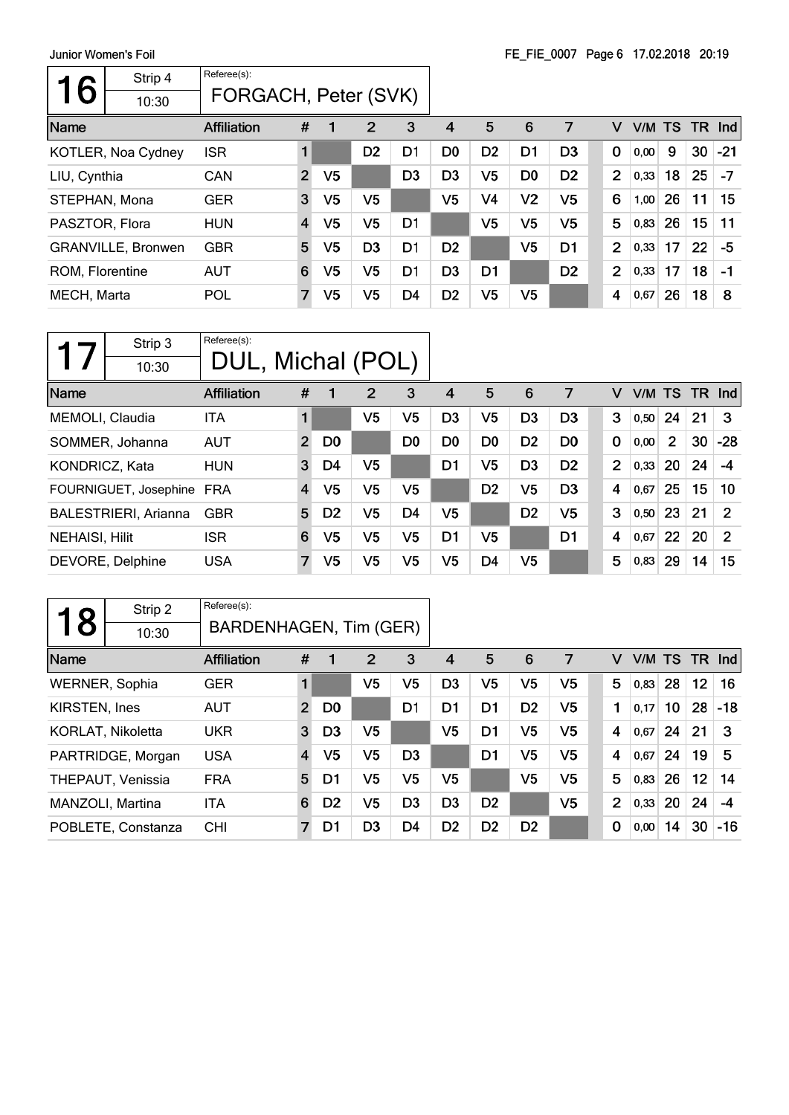Junior Women's Foil  $\overline{\phantom{a}}$ 

 $\mathsf{r}$ 

| JUINOI VYONIEN S FOIL |                           |                      |                |                |                |                |                |                | FE FIE 0007 Page 0 17.02.2016 20.19 |                |                |      |    |     |       |
|-----------------------|---------------------------|----------------------|----------------|----------------|----------------|----------------|----------------|----------------|-------------------------------------|----------------|----------------|------|----|-----|-------|
|                       | Strip 4                   | Referee(s):          |                |                |                |                |                |                |                                     |                |                |      |    |     |       |
| 6                     | 10:30                     | FORGACH, Peter (SVK) |                |                |                |                |                |                |                                     |                |                |      |    |     |       |
| Name                  |                           | <b>Affiliation</b>   | #              | 1              | 2              | 3              | 4              | 5              | 6                                   | 7              | v              | V/M  | TS | TR. | nd    |
|                       | <b>KOTLER, Noa Cydney</b> | <b>ISR</b>           |                |                | D <sub>2</sub> | D1             | D <sub>0</sub> | D <sub>2</sub> | D1                                  | D <sub>3</sub> | 0              | 0,00 | 9  | 30  | $-21$ |
| LIU, Cynthia          |                           | <b>CAN</b>           | $\overline{2}$ | V <sub>5</sub> |                | D <sub>3</sub> | D <sub>3</sub> | V5             | D <sub>0</sub>                      | D <sub>2</sub> | $\overline{2}$ | 0,33 | 18 | 25  | $-7$  |
| STEPHAN, Mona         |                           | <b>GER</b>           | 3              | V <sub>5</sub> | V5             |                | V5             | V4             | V <sub>2</sub>                      | V5             | 6              | 1,00 | 26 | 11  | 15    |
| PASZTOR, Flora        |                           | <b>HUN</b>           | $\overline{4}$ | V <sub>5</sub> | V <sub>5</sub> | D <sub>1</sub> |                | V <sub>5</sub> | V <sub>5</sub>                      | V <sub>5</sub> | 5              | 0,83 | 26 | 15  | 11    |
|                       | <b>GRANVILLE, Bronwen</b> | <b>GBR</b>           | 5              | V <sub>5</sub> | D <sub>3</sub> | D <sub>1</sub> | D <sub>2</sub> |                | V <sub>5</sub>                      | D <sub>1</sub> | $\overline{2}$ | 0,33 | 17 | 22  | -5    |
| ROM, Florentine       |                           | <b>AUT</b>           | 6              | V <sub>5</sub> | V5             | D <sub>1</sub> | D <sub>3</sub> | D <sub>1</sub> |                                     | D <sub>2</sub> | $\overline{2}$ | 0,33 | 17 | 18  | $-1$  |
| MECH, Marta           |                           | POL                  | 7              | V <sub>5</sub> | V5             | D <sub>4</sub> | D <sub>2</sub> | V5             | V <sub>5</sub>                      |                | 4              | 0,67 | 26 | 18  | 8     |

| Strip 3<br>10:30            | Referee(s):<br>DUL, Michal (POL) |                |                |                |                |                |                |                |                |             |                |      |                |        |       |
|-----------------------------|----------------------------------|----------------|----------------|----------------|----------------|----------------|----------------|----------------|----------------|-------------|----------------|------|----------------|--------|-------|
| Name                        | <b>Affiliation</b>               | #              | 1              | 2              | 3              | 4              | 5              | 6              | 7              |             | V              | V/M  | TS.            | TR Ind |       |
| MEMOLI, Claudia             | ITA                              |                |                | V5             | V5             | D3             | V <sub>5</sub> | D <sub>3</sub> | D <sub>3</sub> |             | 3              | 0,50 | 24             | 21     | 3     |
| SOMMER, Johanna             | <b>AUT</b>                       | $\overline{2}$ | D <sub>0</sub> |                | D <sub>0</sub> | D <sub>0</sub> | D <sub>0</sub> | D <sub>2</sub> | D <sub>0</sub> | $\mathbf 0$ |                | 0,00 | $\overline{2}$ | 30     | $-28$ |
| KONDRICZ, Kata              | <b>HUN</b>                       | 3              | D4             | V <sub>5</sub> |                | D1             | V <sub>5</sub> | D <sub>3</sub> | D <sub>2</sub> |             | $\overline{2}$ | 0,33 | 20             | 24     | $-4$  |
| FOURNIGUET, Josephine       | <b>FRA</b>                       | $\overline{4}$ | V <sub>5</sub> | V <sub>5</sub> | V <sub>5</sub> |                | D <sub>2</sub> | V <sub>5</sub> | D <sub>3</sub> |             | 4              | 0,67 | 25             | 15     | 10    |
| <b>BALESTRIERI, Arianna</b> | <b>GBR</b>                       | 5              | D <sub>2</sub> | V <sub>5</sub> | D <sub>4</sub> | V5             |                | D <sub>2</sub> | V <sub>5</sub> |             | 3              | 0,50 | 23             | 21     | 2     |
| NEHAISI, Hilit              | <b>ISR</b>                       | 6              | V5             | V <sub>5</sub> | V5             | D <sub>1</sub> | V <sub>5</sub> |                | D <sub>1</sub> |             | 4              | 0,67 | 22             | 20     | 2     |
| DEVORE, Delphine            | <b>USA</b>                       | 7              | V5             | V <sub>5</sub> | V5             | V <sub>5</sub> | D <sub>4</sub> | V <sub>5</sub> |                |             | 5              | 0,83 | 29             | 14     | 15    |

|                       | Strip 2            | Referee(s):            |                |                |                |                |                |                |                |                |   |        |    |           |            |
|-----------------------|--------------------|------------------------|----------------|----------------|----------------|----------------|----------------|----------------|----------------|----------------|---|--------|----|-----------|------------|
| 8                     | 10:30              | BARDENHAGEN, Tim (GER) |                |                |                |                |                |                |                |                |   |        |    |           |            |
| Name                  |                    | <b>Affiliation</b>     | #              | 1              | 2              | 3              | 4              | 5              | 6              | 7              | v | V/M TS |    | <b>TR</b> | <b>Ind</b> |
| <b>WERNER, Sophia</b> |                    | <b>GER</b>             | $\mathbf{1}$   |                | V5             | V5             | D3             | V5             | V <sub>5</sub> | V5             | 5 | 0,83   | 28 | 12        | 16         |
| KIRSTEN, Ines         |                    | <b>AUT</b>             | $\overline{2}$ | D <sub>0</sub> |                | D1             | D1             | D1             | D <sub>2</sub> | V5             | 1 | 0.17   | 10 | 28        | $-18$      |
|                       | KORLAT, Nikoletta  | <b>UKR</b>             | 3              | D <sub>3</sub> | V <sub>5</sub> |                | V5             | D <sub>1</sub> | V <sub>5</sub> | V5             | 4 | 0,67   | 24 | 21        | 3          |
|                       | PARTRIDGE, Morgan  | <b>USA</b>             | 4              | V5             | V5             | D <sub>3</sub> |                | D <sub>1</sub> | V5             | V5             | 4 | 0,67   | 24 | 19        | 5          |
|                       | THEPAUT, Venissia  | <b>FRA</b>             | $5\phantom{.}$ | D1             | V <sub>5</sub> | V5             | V5             |                | V <sub>5</sub> | V <sub>5</sub> | 5 | 0,83   | 26 | 12        | 14         |
|                       | MANZOLI, Martina   | <b>ITA</b>             | 6              | D <sub>2</sub> | V5             | D <sub>3</sub> | D3             | D <sub>2</sub> |                | V <sub>5</sub> | 2 | 0,33   | 20 | 24        | $-4$       |
|                       | POBLETE, Constanza | <b>CHI</b>             | 7              | D1             | D <sub>3</sub> | D4             | D <sub>2</sub> | D <sub>2</sub> | D <sub>2</sub> |                | 0 | 0,00   | 14 | 30        | $-16$      |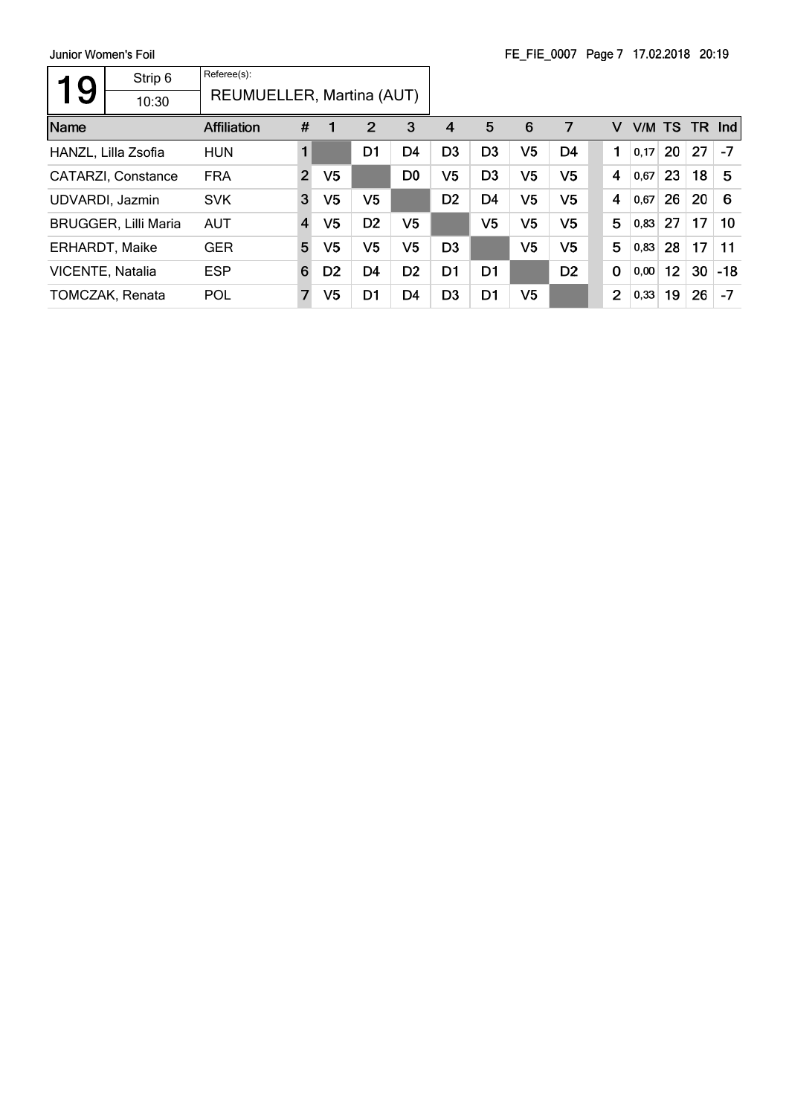| 9                       | Strip 6                     | Referee(s):               |                |                |                |                |                |                |                |                |                |        |    |           |       |
|-------------------------|-----------------------------|---------------------------|----------------|----------------|----------------|----------------|----------------|----------------|----------------|----------------|----------------|--------|----|-----------|-------|
|                         | 10:30                       | REUMUELLER, Martina (AUT) |                |                |                |                |                |                |                |                |                |        |    |           |       |
| Name                    |                             | Affiliation               | #              |                | 2              | 3              | 4              | 5              | 6              | 7              | v              | V/M TS |    | <b>TR</b> | Ind   |
|                         | HANZL, Lilla Zsofia         | <b>HUN</b>                | 1              |                | D <sub>1</sub> | D <sub>4</sub> | D <sub>3</sub> | D <sub>3</sub> | V <sub>5</sub> | D <sub>4</sub> | 1              | 0,17   | 20 | 27        | $-7$  |
|                         | CATARZI, Constance          | <b>FRA</b>                | $\overline{2}$ | V <sub>5</sub> |                | D <sub>0</sub> | V <sub>5</sub> | D <sub>3</sub> | V <sub>5</sub> | V <sub>5</sub> | 4              | 0.67   | 23 | 18        | 5     |
|                         | UDVARDI, Jazmin             | <b>SVK</b>                | 3              | V <sub>5</sub> | V5             |                | D <sub>2</sub> | D4             | V5             | V5             | 4              | 0,67   | 26 | 20        | 6     |
|                         | <b>BRUGGER, Lilli Maria</b> | <b>AUT</b>                | $\overline{4}$ | V5             | D <sub>2</sub> | V5             |                | V5             | V <sub>5</sub> | V5             | 5              | 0,83   | 27 | 17        | 10    |
| <b>ERHARDT, Maike</b>   |                             | <b>GER</b>                | 5              | V <sub>5</sub> | V5             | V5             | D <sub>3</sub> |                | V <sub>5</sub> | V5             | 5              | 0,83   | 28 | 17        | 11    |
| <b>VICENTE, Natalia</b> |                             | <b>ESP</b>                | 6              | D <sub>2</sub> | D <sub>4</sub> | D <sub>2</sub> | D <sub>1</sub> | D <sub>1</sub> |                | D <sub>2</sub> | $\mathbf 0$    | 0,00   | 12 | 30        | $-18$ |
|                         | <b>TOMCZAK, Renata</b>      | POL                       | $\overline{7}$ | V5             | D <sub>1</sub> | D <sub>4</sub> | D <sub>3</sub> | D <sub>1</sub> | V5             |                | $\overline{2}$ | 0,33   | 19 | 26        | $-7$  |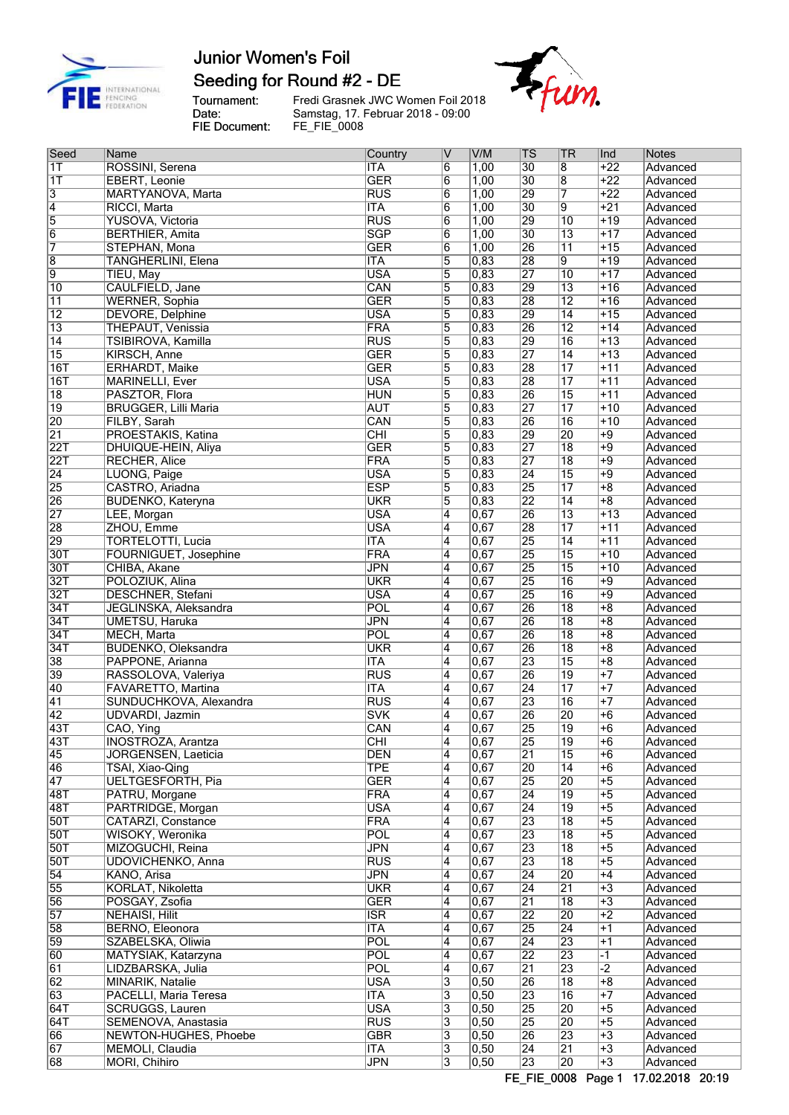

## Seeding for Round #2 - DE

Tournament:<br>Date:<br>FIE Document:

Fredi Grasnek JWC Women Foil 2018<br>Samstag, 17. Februar 2018 - 09:00<br>FE\_FIE\_0008



| Seed             | Name                        | Country    | ΙV             | V/M   | $ \mathsf{TS} $ | TR              | Ind              | Notes    |
|------------------|-----------------------------|------------|----------------|-------|-----------------|-----------------|------------------|----------|
| $\overline{1}$   | ROSSINI, Serena             | <b>ITA</b> | 6              | 1,00  | $\overline{30}$ | $\overline{8}$  | $+22$            | Advanced |
| $\overline{11}$  | EBERT, Leonie               | <b>GER</b> | 6              | 1,00  | $\overline{30}$ | $\overline{8}$  | $+22$            | Advanced |
| $\overline{3}$   | MARTYANOVA, Marta           | <b>RUS</b> | 6              | 1,00  | $\overline{29}$ | 7               | $+22$            | Advanced |
| $\overline{4}$   | RICCI, Marta                | <b>ITA</b> | $\overline{6}$ | 1,00  | $\overline{30}$ | $\overline{9}$  | $+21$            | Advanced |
| $\overline{5}$   | YUSOVA, Victoria            | <b>RUS</b> | $\overline{6}$ | 1,00  | $\overline{29}$ | $\overline{10}$ | $+19$            | Advanced |
| $\overline{6}$   | <b>BERTHIER, Amita</b>      | <b>SGP</b> | $\overline{6}$ | 1,00  | $\overline{30}$ | $\overline{13}$ | $+17$            | Advanced |
| $\overline{7}$   | STEPHAN, Mona               | <b>GER</b> | $\overline{6}$ | 1,00  | $\overline{26}$ | $\overline{11}$ | $+15$            | Advanced |
| $\overline{8}$   | <b>TANGHERLINI</b> , Elena  | <b>ITA</b> | $\overline{5}$ | 0,83  | $\overline{28}$ | 9               | $+19$            | Advanced |
| $\overline{9}$   | TIEU, May                   | <b>USA</b> | $\overline{5}$ | 0,83  | $\overline{27}$ | $\overline{10}$ | $+17$            | Advanced |
| $\overline{10}$  | CAULFIELD, Jane             | CAN        | 5              | 0,83  | 29              | $\overline{13}$ | $+16$            | Advanced |
| 11               | <b>WERNER, Sophia</b>       | <b>GER</b> | 5              | 0,83  | 28              | $\overline{12}$ | $+16$            | Advanced |
| $\overline{12}$  | <b>DEVORE, Delphine</b>     | <b>USA</b> | 5              | 0,83  | 29              | $\overline{14}$ | $+15$            | Advanced |
| $\overline{13}$  | <b>THEPAUT, Venissia</b>    | FRA        | 5              | 0,83  | 26              | $\overline{12}$ | $+14$            | Advanced |
| $\overline{14}$  | TSIBIROVA, Kamilla          | RUS        | 5              | 0,83  | $\overline{29}$ | $\overline{16}$ | $+13$            | Advanced |
| $\overline{15}$  | <b>KIRSCH, Anne</b>         | <b>GER</b> | $\overline{5}$ | 0,83  | 27              | $\overline{14}$ | $+13$            | Advanced |
| 16T              | <b>ERHARDT, Maike</b>       | <b>GER</b> | $\overline{5}$ | 0,83  | $\overline{28}$ | $\overline{17}$ | $+11$            | Advanced |
| 16T              | <b>MARINELLI, Ever</b>      | <b>USA</b> | 5              | 0,83  | 28              | $\overline{17}$ | $+11$            | Advanced |
| $\overline{18}$  | PASZTOR, Flora              | <b>HUN</b> | 5              | 0,83  | 26              | $\overline{15}$ | $+11$            | Advanced |
| $\overline{19}$  | <b>BRUGGER, Lilli Maria</b> | <b>AUT</b> | 5              | 0,83  | 27              | $\overline{17}$ | $+10$            | Advanced |
| 20               | FILBY, Sarah                | CAN        | $\overline{5}$ | 0,83  | $\overline{26}$ | $\overline{16}$ | $+10$            | Advanced |
| $\overline{21}$  | PROESTAKIS, Katina          | CHI        | 5              | 0,83  | $\overline{29}$ | 20              | $+9$             | Advanced |
| <b>22T</b>       | DHUIQUE-HEIN, Aliya         | <b>GER</b> | 5              | 0,83  | $\overline{27}$ | $\overline{18}$ | $+9$             | Advanced |
| 22T              | <b>RECHER, Alice</b>        | FRA        | $\overline{5}$ | 0,83  | $\overline{27}$ | $\overline{18}$ | $+9$             | Advanced |
| $\overline{24}$  | LUONG, Paige                | <b>USA</b> | 5              | 0,83  | $\overline{24}$ | $\overline{15}$ | $+9$             | Advanced |
| 25               | CASTRO, Ariadna             | <b>ESP</b> | 5              | 0,83  | $\overline{25}$ | $\overline{17}$ | $+8$             | Advanced |
| 26               | <b>BUDENKO, Kateryna</b>    | <b>UKR</b> | $\overline{5}$ | 0,83  | $\overline{22}$ | $\overline{14}$ | $\overline{+8}$  | Advanced |
| 27               | LEE, Morgan                 | <b>USA</b> | 4              | 0,67  | 26              | $\overline{13}$ | $\overline{+13}$ | Advanced |
| 28               | ZHOU, Emme                  | <b>USA</b> | 4              | 0,67  | 28              | $\overline{17}$ | $+11$            | Advanced |
| 29               | <b>TORTELOTTI, Lucia</b>    | <b>ITA</b> | 4              | 0,67  | 25              | $\overline{14}$ | $+11$            | Advanced |
| 30T              | FOURNIGUET, Josephine       | FRA        | $\overline{4}$ | 0,67  | 25              | $\overline{15}$ | $+10$            | Advanced |
| 30T              | CHIBA, Akane                | <b>JPN</b> | 4              | 0,67  | 25              | $\overline{15}$ | $+10$            | Advanced |
| 32T              | POLOZIUK, Alina             | <b>UKR</b> | 4              | 0,67  | 25              | $\overline{16}$ | $+9$             | Advanced |
| 32T              | <b>DESCHNER, Stefani</b>    | <b>USA</b> | $\overline{4}$ | 0,67  | 25              | $\overline{16}$ | $+9$             | Advanced |
| 34T              | JEGLINSKA, Aleksandra       | POL        | 4              | 0,67  | $\overline{26}$ | $\overline{18}$ | $\overline{+8}$  | Advanced |
| 34T              | <b>UMETSU, Haruka</b>       | <b>JPN</b> | 4              | 0,67  | 26              | $\overline{18}$ | $+8$             | Advanced |
| 34T              | <b>MECH, Marta</b>          | POL        | 4              | 0,67  | 26              | $\overline{18}$ | $+8$             | Advanced |
| 34T              | <b>BUDENKO, Oleksandra</b>  | <b>UKR</b> | 4              | 0,67  | 26              | $\overline{18}$ | $+8$             | Advanced |
| $\overline{38}$  | PAPPONE, Arianna            | <b>ITA</b> | 4              | 0,67  | 23              | $\overline{15}$ | $+8$             | Advanced |
| 39               | RASSOLOVA, Valeriya         | RUS        | $\overline{4}$ | 0,67  | 26              | $\overline{19}$ | $+7$             | Advanced |
| 40               | FAVARETTO, Martina          | <b>ITA</b> | 4              | 0,67  | $\overline{24}$ | $\overline{17}$ | $+7$             | Advanced |
| 41               | SUNDUCHKOVA, Alexandra      | <b>RUS</b> | 4              | 0,67  | 23              | $\overline{16}$ | $+7$             | Advanced |
| 42               | <b>UDVARDI</b> , Jazmin     | <b>SVK</b> | 4              | 0,67  | 26              | 20              | $+6$             | Advanced |
| 43T              | CAO, Ying                   | CAN        | 4              | 0,67  | 25              | $\overline{19}$ | $+6$             | Advanced |
| $\overline{43T}$ | <b>INOSTROZA, Arantza</b>   | CHI        | 4              | 0.67  | 25              | 19              | +6               | Advanced |
| 45               | JORGENSEN, Laeticia         | <b>DEN</b> | 4              | 0,67  | 21              | $\overline{15}$ | $+6$             | Advanced |
| 46               | TSAI, Xiao-Qing             | <b>TPE</b> | 4              | 0,67  | 20              | 14              | $+6$             | Advanced |
| 47               | <b>UELTGESFORTH, Pia</b>    | <b>GER</b> | 4              | 0,67  | 25              | 20              | $+5$             | Advanced |
| 48T              | PATRU, Morgane              | FRA        | 4              | 0,67  | $\overline{24}$ | $\overline{19}$ | $+5$             | Advanced |
| 48T              | PARTRIDGE, Morgan           | <b>USA</b> | 4              | 0,67  | $\overline{24}$ | $\overline{19}$ | $+5$             | Advanced |
| 50T              | CATARZI, Constance          | <b>FRA</b> | 4              | 0,67  | $\overline{23}$ | $\overline{18}$ | $+5$             | Advanced |
| 50T              | WISOKY, Weronika            | POL        | 4              | 0,67  | 23              | $\overline{18}$ | $+5$             | Advanced |
| 50T              | MIZOGUCHI, Reina            | <b>JPN</b> | $\overline{4}$ | 0,67  | 23              | $\overline{18}$ | $+5$             | Advanced |
| 50T              | UDOVICHENKO, Anna           | <b>RUS</b> | 4              | 0,67  | 23              | $\overline{18}$ | $+5$             | Advanced |
| $\overline{54}$  | KANO, Arisa                 | <b>JPN</b> | 4              | 0,67  | $\overline{24}$ | 20              | $+4$             | Advanced |
| 55               | KORLAT, Nikoletta           | <b>UKR</b> | 4              | 0,67  | 24              | $\overline{21}$ | $+3$             | Advanced |
| 56               | POSGAY, Zsofia              | <b>GER</b> | 4              | 0,67  | $\overline{21}$ | $\overline{18}$ | $+3$             | Advanced |
| 57               | <b>NEHAISI, Hilit</b>       | <b>ISR</b> | 4              | 0,67  | $\overline{22}$ | 20              | $+2$             | Advanced |
| 58               | BERNO, Eleonora             | <b>ITA</b> | $\overline{4}$ | 0,67  | $\overline{25}$ | $\overline{24}$ | $+1$             | Advanced |
| 59               | SZABELSKA, Oliwia           | <b>POL</b> | 4              | 0,67  | $\overline{24}$ | 23              | $+1$             | Advanced |
| 60               | MATYSIAK, Katarzyna         | <b>POL</b> | 4              | 0,67  | $\overline{22}$ | 23              | $-1$             | Advanced |
| 61               | LIDZBARSKA, Julia           | POL        | 4              | 0,67  | $\overline{21}$ | $\overline{23}$ | $\overline{-2}$  | Advanced |
| $\overline{62}$  | <b>MINARIK, Natalie</b>     | <b>USA</b> | 3              | 0,50  | 26              | $\overline{18}$ | $+8$             | Advanced |
| 63               | PACELLI, Maria Teresa       | <b>ITA</b> | $\overline{3}$ | 0,50  | 23              | $\overline{16}$ | $\overline{+7}$  | Advanced |
| 64T              | SCRUGGS, Lauren             | <b>USA</b> | $\overline{3}$ | 0,50  | 25              | 20              | $+5$             | Advanced |
| 64T              | SEMENOVA, Anastasia         | <b>RUS</b> | $\overline{3}$ | 0,50  | 25              | 20              | $+5$             | Advanced |
| 66               | NEWTON-HUGHES, Phoebe       | <b>GBR</b> | 3              | 0,50  | 26              | 23              | $+3$             | Advanced |
| 67               | MEMOLI, Claudia             | <b>ITA</b> | $\overline{3}$ | 0, 50 | $\overline{24}$ | $\overline{21}$ | $+3$             | Advanced |
| 68               | MORI, Chihiro               | <b>JPN</b> | $\overline{3}$ | 0, 50 | 23              | 20              | $\overline{+3}$  | Advanced |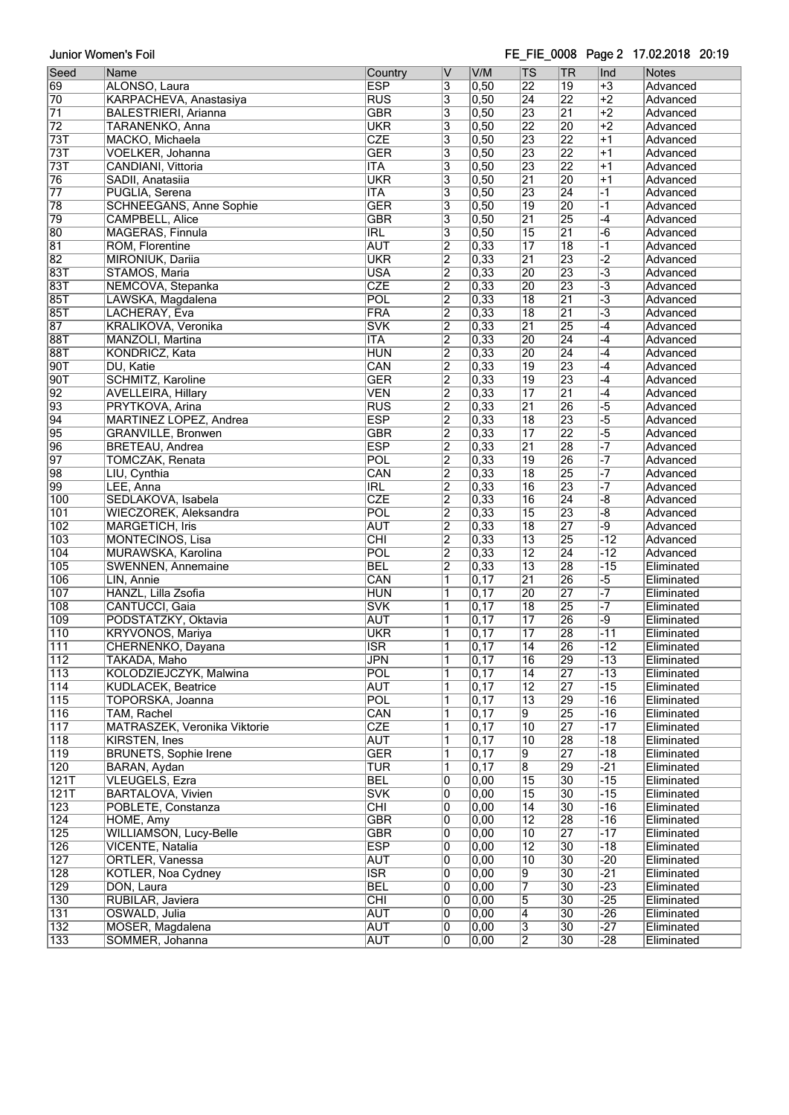Junior Women's Foil

#### FE\_FIE\_0008 Page 2 17.02.2018 20:19

| Seed             | Name                                                  | Country                 | V                         | V/M  | $ \mathsf{TS} $         | <b>TR</b>       | Ind                  | <b>Notes</b> |
|------------------|-------------------------------------------------------|-------------------------|---------------------------|------|-------------------------|-----------------|----------------------|--------------|
| 69               | ALONSO, Laura                                         | <b>ESP</b>              | 3                         | 0,50 | $\overline{22}$         | $\overline{19}$ | $+3$                 | Advanced     |
| 70               |                                                       | <b>RUS</b>              | $\overline{3}$            | 0,50 | 24                      | $\overline{22}$ | $+2$                 | Advanced     |
|                  | KARPACHEVA, Anastasiya<br><b>BALESTRIERI, Arianna</b> | <b>GBR</b>              |                           | 0,50 | 23                      | $\overline{21}$ | $+2$                 |              |
| $\overline{71}$  |                                                       |                         | 3                         |      |                         |                 |                      | Advanced     |
| $\overline{72}$  | TARANENKO, Anna                                       | <b>UKR</b>              | 3                         | 0,50 | $\overline{22}$         | 20              | $+2$                 | Advanced     |
| 73T              | MACKO, Michaela                                       | CZE                     | $\overline{\overline{3}}$ | 0,50 | 23                      | $\overline{22}$ | $+1$                 | Advanced     |
| 73T              | VOELKER, Johanna                                      | <b>GER</b>              | 3                         | 0,50 | 23                      | 22              | $+1$                 | Advanced     |
| 73T              | CANDIANI, Vittoria                                    | <b>ITA</b>              | 3                         | 0,50 | $\overline{23}$         | 22              | $+1$                 | Advanced     |
| 76               | SADII, Anatasiia                                      | <b>UKR</b>              | $\overline{\overline{3}}$ | 0,50 | 21                      | 20              | $+1$                 | Advanced     |
| $\overline{77}$  | PUGLIA, Serena                                        | <b>ITA</b>              | 3                         | 0,50 | 23                      | 24              | $\overline{-1}$      | Advanced     |
| 78               | <b>SCHNEEGANS, Anne Sophie</b>                        | <b>GER</b>              | 3                         | 0,50 | 19                      | 20              | $-1$                 | Advanced     |
| 79               | <b>CAMPBELL, Alice</b>                                | <b>GBR</b>              | 3                         | 0,50 | $\overline{21}$         | 25              | $-4$                 | Advanced     |
| 80               | MAGERAS, Finnula                                      | <b>IRL</b>              | $\overline{\overline{3}}$ | 0,50 | 15                      | $\overline{21}$ | $-\overline{6}$      | Advanced     |
| 81               | ROM, Florentine                                       | <b>AUT</b>              | $\overline{2}$            | 0,33 | $\overline{17}$         | $\overline{18}$ | $\overline{-1}$      | Advanced     |
| 82               | MIRONIUK, Dariia                                      | <b>UKR</b>              | $\overline{2}$            | 0,33 | $\overline{21}$         | 23              | $\overline{2}$       | Advanced     |
| 83T              | STAMOS, Maria                                         | <b>USA</b>              | $\overline{2}$            | 0,33 | $\overline{20}$         | 23              | $\overline{-3}$      | Advanced     |
| 83T              | NEMCOVA, Stepanka                                     | CZE                     | $\overline{2}$            | 0,33 | $\overline{20}$         | 23              | $\overline{-3}$      | Advanced     |
| <b>85T</b>       | LAWSKA, Magdalena                                     | POL                     | $\overline{2}$            | 0,33 | $\overline{18}$         | $\overline{21}$ | $\overline{-3}$      | Advanced     |
| <b>85T</b>       | LACHERAY, Eva                                         | FRA                     | $\overline{2}$            | 0,33 | $\overline{18}$         | $\overline{21}$ | $\overline{\cdot}$ 3 | Advanced     |
| 87               | KRALIKOVA, Veronika                                   | <b>SVK</b>              | $\overline{2}$            | 0,33 | $\overline{21}$         | 25              | $-4$                 | Advanced     |
| 88T              | MANZOLI, Martina                                      | <b>ITA</b>              | $\overline{2}$            | 0,33 | 20                      | $\overline{24}$ | $-4$                 | Advanced     |
| <b>88T</b>       | KONDRICZ, Kata                                        | <b>HUN</b>              | $\overline{2}$            | 0,33 | $\overline{20}$         | $\overline{24}$ | $-4$                 | Advanced     |
| 90T              | DU, Katie                                             | CAN                     | $\overline{2}$            | 0,33 | $\overline{19}$         | 23              | $-4$                 | Advanced     |
| 90T              | SCHMITZ, Karoline                                     | <b>GER</b>              | $\overline{2}$            | 0,33 | $\overline{19}$         | 23              | $-4$                 | Advanced     |
|                  |                                                       |                         |                           |      |                         |                 |                      |              |
| 92               | <b>AVELLEIRA, Hillary</b>                             | $\overline{\text{VEN}}$ | $\overline{2}$            | 0,33 | $\overline{17}$         | $\overline{21}$ | $-4$                 | Advanced     |
| 93               | PRYTKOVA, Arina                                       | <b>RUS</b>              | $\overline{2}$            | 0,33 | $\overline{21}$         | 26              | $\overline{-5}$      | Advanced     |
| $\overline{94}$  | MARTINEZ LOPEZ, Andrea                                | <b>ESP</b>              | $\overline{2}$            | 0,33 | $\overline{18}$         | 23              | $-5$                 | Advanced     |
| 95               | <b>GRANVILLE, Bronwen</b>                             | <b>GBR</b>              | $\overline{2}$            | 0,33 | $\overline{17}$         | 22              | $-5$                 | Advanced     |
| 96               | <b>BRETEAU, Andrea</b>                                | <b>ESP</b>              | $\overline{2}$            | 0,33 | $\overline{21}$         | 28              |                      | Advanced     |
| $\overline{97}$  | TOMCZAK, Renata                                       | POL                     | $\overline{2}$            | 0,33 | $\overline{19}$         | 26              | -7                   | Advanced     |
| 98               | LIU, Cynthia                                          | CAN                     | $\overline{2}$            | 0,33 | $\overline{18}$         | 25              | $\overline{\cdot}$   | Advanced     |
| 99               | LEE, Anna                                             | $\overline{\text{IRL}}$ | $\overline{2}$            | 0,33 | 16                      | 23              |                      | Advanced     |
| 100              | SEDLAKOVA, Isabela                                    | CZE                     | $\overline{2}$            | 0,33 | $\overline{16}$         | $\overline{24}$ | $-\sqrt{8}$          | Advanced     |
| 101              | WIECZOREK, Aleksandra                                 | $\overline{POL}$        | $\overline{2}$            | 0,33 | $\overline{15}$         | 23              | $\overline{-8}$      | Advanced     |
| 102              | <b>MARGETICH, Iris</b>                                | <b>AUT</b>              | $\overline{2}$            | 0,33 | $\overline{18}$         | 27              | -9                   | Advanced     |
| 103              | MONTECINOS, Lisa                                      | $\overline{CHI}$        | $\overline{2}$            | 0,33 | $\overline{13}$         | 25              | $-12$                | Advanced     |
| 104              | MURAWSKA, Karolina                                    | POL                     | $\overline{2}$            | 0,33 | $\overline{12}$         | 24              | $-12$                | Advanced     |
| 105              | SWENNEN, Annemaine                                    | <b>BEL</b>              | $\overline{2}$            | 0,33 | $\overline{13}$         | 28              | $-15$                | Eliminated   |
| 106              | LIN, Annie                                            | CAN                     | 1                         | 0,17 | $\overline{21}$         | 26              | $-5$                 | Eliminated   |
| 107              | HANZL, Lilla Zsofia                                   | <b>HUN</b>              | 1                         | 0,17 | 20                      | 27              |                      | Eliminated   |
| 108              | CANTUCCI, Gaia                                        | $\overline{\text{SVK}}$ | 1                         | 0,17 | $\overline{18}$         | 25              |                      | Eliminated   |
|                  | PODSTATZKY, Oktavia                                   |                         |                           | 0,17 | $\overline{17}$         | 26              | -9                   | Eliminated   |
| 109              |                                                       | <b>AUT</b>              | 1                         |      |                         | 28              |                      |              |
| $\overline{110}$ | KRYVONOS, Mariya                                      | <b>UKR</b>              | 1                         | 0,17 | $\overline{17}$         |                 | $-11$                | Eliminated   |
| 111              | CHERNENKO, Dayana                                     | <b>ISR</b>              | 1                         | 0,17 | $\overline{14}$         | 26              | $-12$                | Eliminated   |
| 112              | TAKADA, Maho                                          | JPN                     | 1                         | 0,17 | 16                      | 29              | -13                  | Eliminated   |
| $\overline{113}$ | KOLODZIEJCZYK, Malwina                                | POL                     | 1                         | 0,17 | $\overline{14}$         | 27              | $-13$                | Eliminated   |
| $\overline{114}$ | KUDLACEK, Beatrice                                    | <b>AUT</b>              | 1                         | 0,17 | $\overline{12}$         | 27              | $-15$                | Eliminated   |
| 115              | TOPORSKA, Joanna                                      | POL                     | 1                         | 0,17 | $\overline{13}$         | 29              | $-16$                | Eliminated   |
| 116              | TAM, Rachel                                           | CAN                     | 1                         | 0,17 | 9                       | 25              | $-16$                | Eliminated   |
| 117              | MATRASZEK, Veronika Viktorie                          | <b>CZE</b>              | 1                         | 0,17 | $\overline{10}$         | 27              | $-17$                | Eliminated   |
| 118              | KIRSTEN, Ines                                         | <b>AUT</b>              | 1                         | 0,17 | $\overline{10}$         | 28              | $-18$                | Eliminated   |
| 119              | <b>BRUNETS, Sophie Irene</b>                          | <b>GER</b>              | 1                         | 0,17 | 9                       | $\overline{27}$ | $-18$                | Eliminated   |
| 120              | BARAN, Aydan                                          | TUR                     | 1                         | 0,17 | $\overline{8}$          | 29              | $-21$                | Eliminated   |
| 121T             | <b>VLEUGELS, Ezra</b>                                 | <b>BEL</b>              | 0                         | 0,00 | 15                      | $\overline{30}$ | $-15$                | Eliminated   |
| 121T             | BARTALOVA, Vivien                                     | <b>SVK</b>              | 0                         | 0,00 | $\overline{15}$         | 30              | $-15$                | Eliminated   |
| 123              | POBLETE, Constanza                                    | $\overline{\text{CHI}}$ | $\overline{0}$            | 0,00 | $\overline{14}$         | $\overline{30}$ | $-16$                | Eliminated   |
| 124              | HOME, Amy                                             | <b>GBR</b>              | 0                         | 0,00 | $\overline{12}$         | 28              | $-16$                | Eliminated   |
| 125              | <b>WILLIAMSON, Lucy-Belle</b>                         | $\overline{\text{GBR}}$ | 0                         | 0,00 | $\overline{10}$         | $\overline{27}$ | $-17$                | Eliminated   |
| 126              | <b>VICENTE, Natalia</b>                               | <b>ESP</b>              | 0                         | 0,00 | $\overline{12}$         | $\overline{30}$ | $-18$                | Eliminated   |
| 127              | ORTLER, Vanessa                                       | <b>AUT</b>              | 0                         | 0,00 | $\overline{10}$         | 30              | $-20$                | Eliminated   |
| 128              | KOTLER, Noa Cydney                                    | $\overline{\text{ISR}}$ | 0                         | 0,00 | 9                       | 30              | -21                  | Eliminated   |
|                  |                                                       |                         |                           |      |                         |                 |                      |              |
| 129              | DON, Laura                                            | <b>BEL</b>              | 0                         | 0,00 | 7                       | $\overline{30}$ | $-23$                | Eliminated   |
| 130              | RUBILAR, Javiera                                      | CHI                     | 0                         | 0,00 | 5                       | $\overline{30}$ | $-25$                | Eliminated   |
| 131              | OSWALD, Julia                                         | <b>AUT</b>              | 0                         | 0,00 | 4                       | 30              | $-26$                | Eliminated   |
| 132              | MOSER, Magdalena                                      | <b>AUT</b>              | 0                         | 0,00 | $\overline{\mathbf{3}}$ | $\overline{30}$ | $-27$                | Eliminated   |
| 133              | SOMMER, Johanna                                       | <b>AUT</b>              | $\overline{0}$            | 0,00 | $\overline{2}$          | $\overline{30}$ | $-28$                | Eliminated   |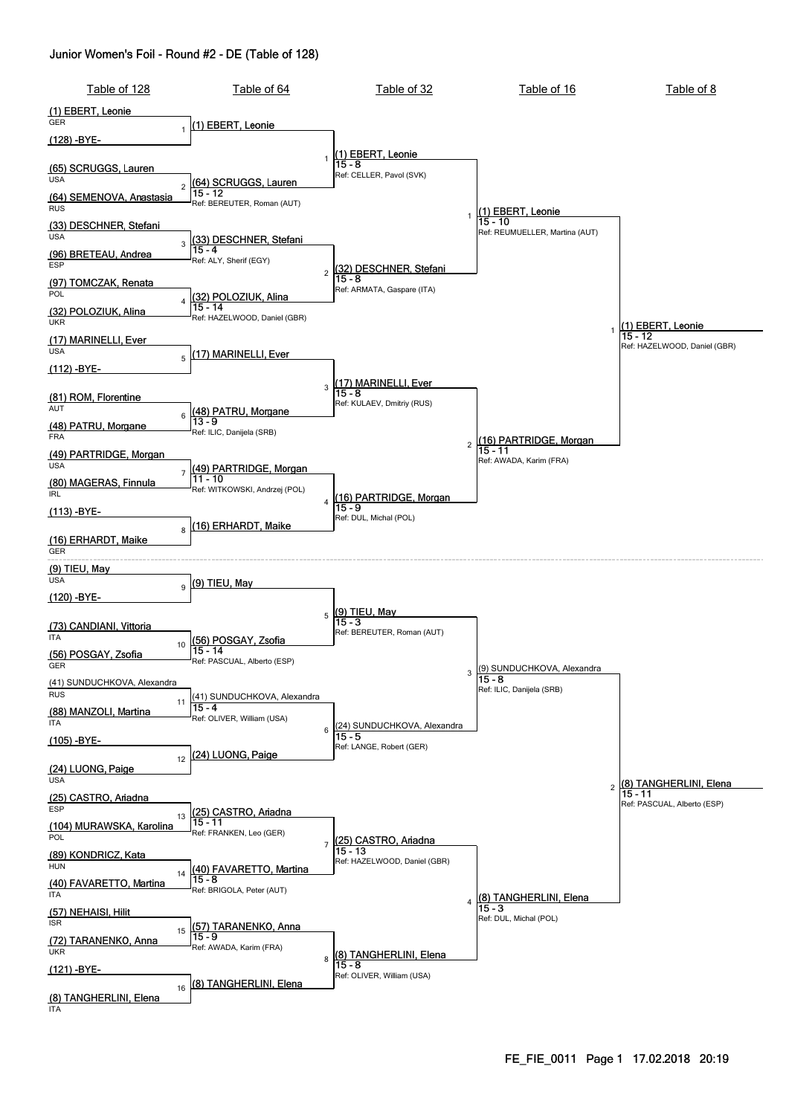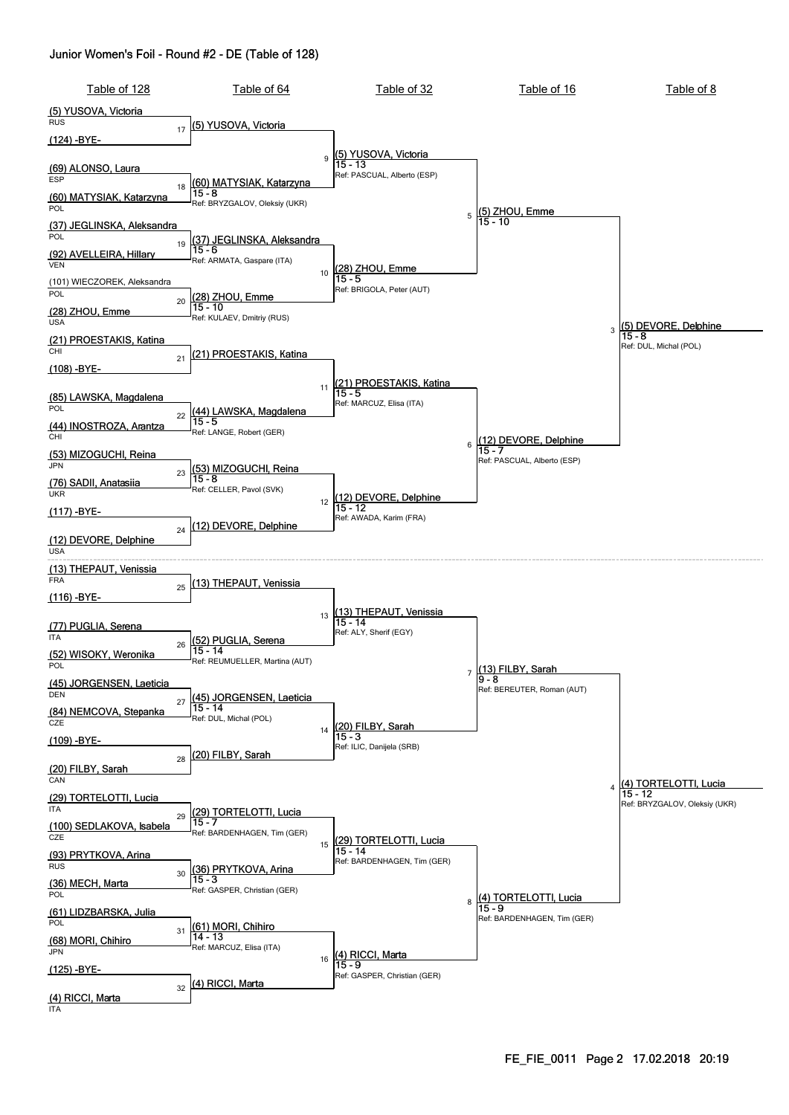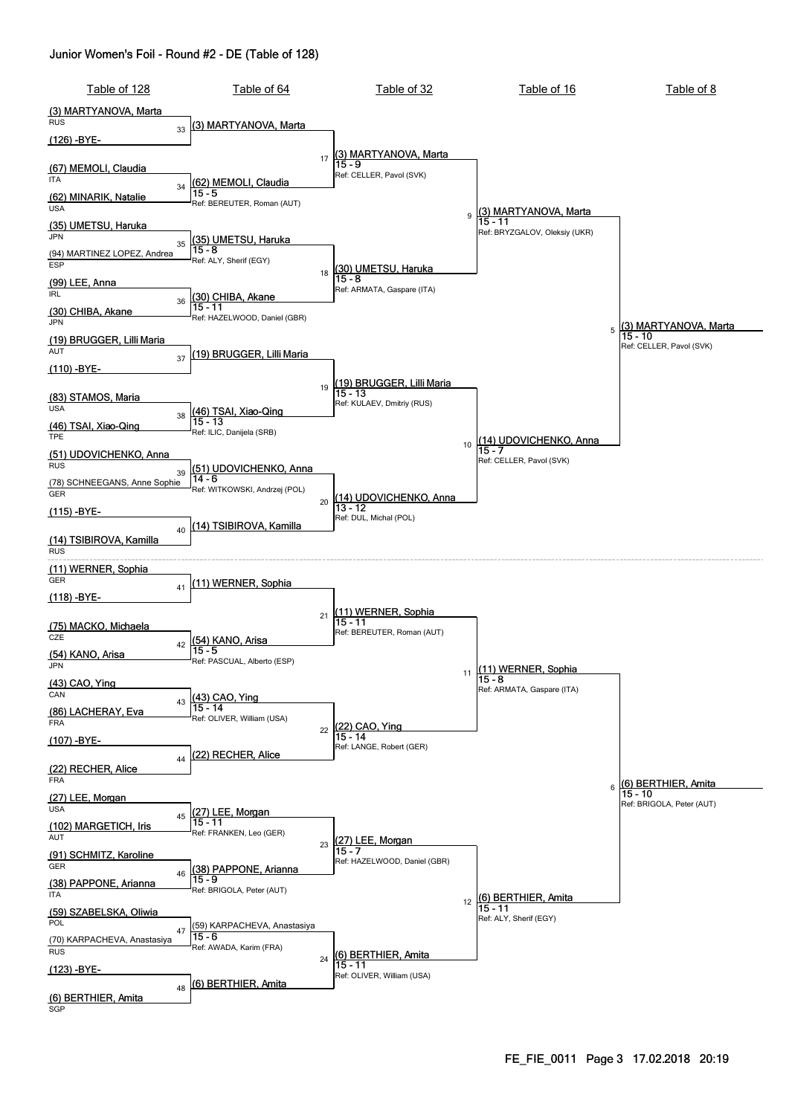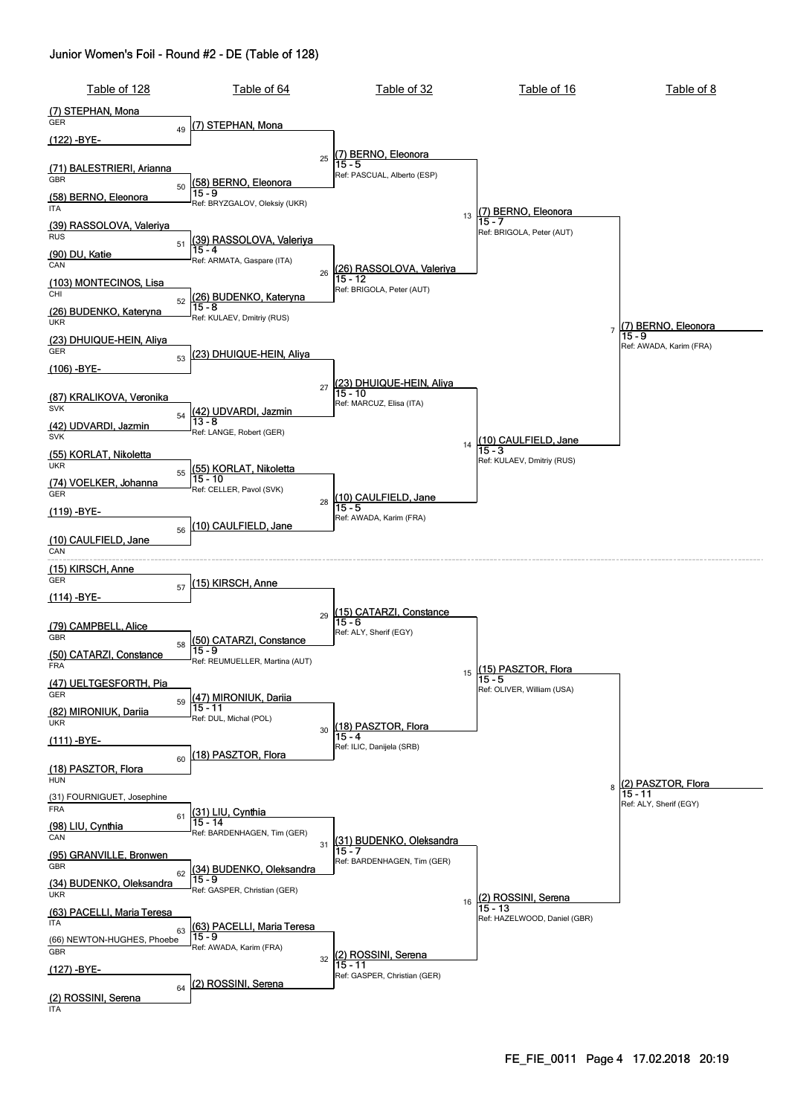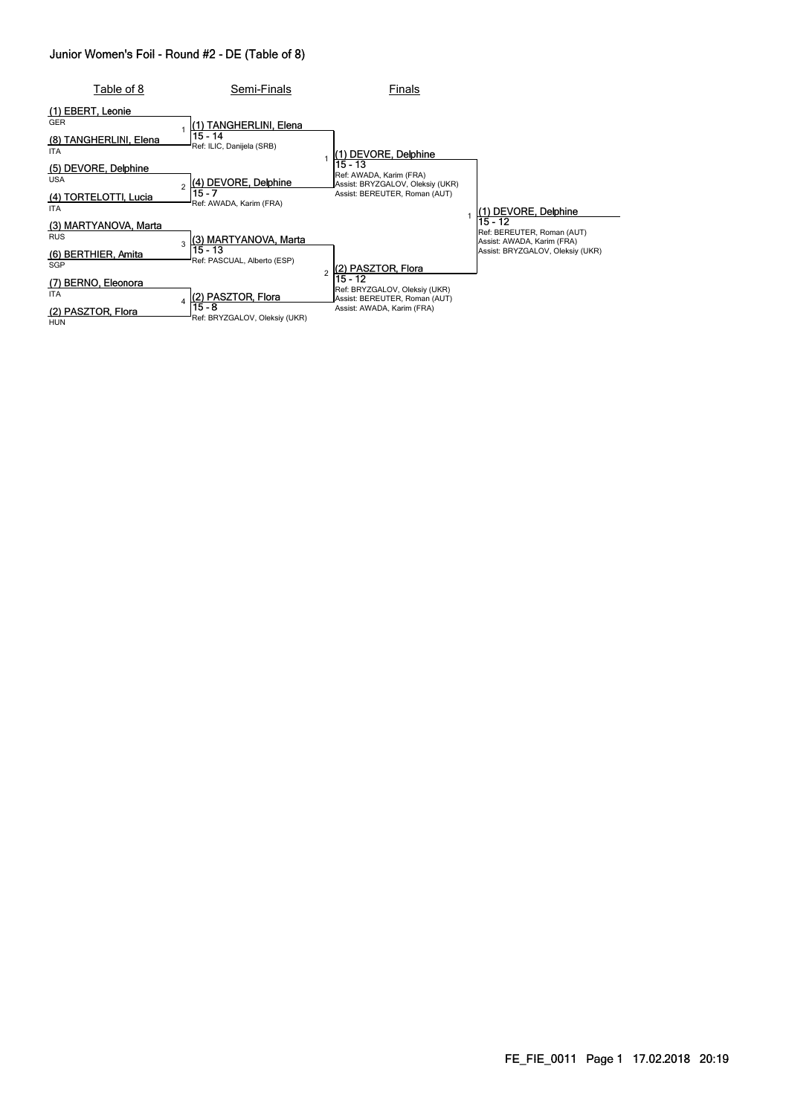| Table of 8                                  | Semi-Finals                             | Finals                                                                    |                                                                     |
|---------------------------------------------|-----------------------------------------|---------------------------------------------------------------------------|---------------------------------------------------------------------|
| (1) EBERT, Leonie<br><b>GER</b>             | (1) TANGHERLINI, Elena                  |                                                                           |                                                                     |
| TANGHERLINI, Elena<br>(8)<br><b>ITA</b>     | 15 - 14<br>Ref: ILIC, Danijela (SRB)    | (1) DEVORE, Delphine                                                      |                                                                     |
| (5) DEVORE, Delphine<br><b>USA</b>          | (4) DEVORE, Delphine                    | $15 - 13$<br>Ref: AWADA, Karim (FRA)<br>Assist: BRYZGALOV, Oleksiy (UKR)  |                                                                     |
| TORTELOTTI, Lucia<br>(4)<br><b>ITA</b>      | 15 - 7<br>Ref: AWADA, Karim (FRA)       | Assist: BEREUTER, Roman (AUT)                                             | 1) DEVORE, Delphine                                                 |
| (3) MARTYANOVA, Marta<br><b>RUS</b>         | (3) MARTYANOVA, Marta<br>ર              |                                                                           | 15 - 12<br>Ref: BEREUTER, Roman (AUT)<br>Assist: AWADA, Karim (FRA) |
| (6) BERTHIER, Amita<br>SGP                  | 15 - 13<br>Ref: PASCUAL, Alberto (ESP)  | (2) PASZTOR, Flora                                                        | Assist: BRYZGALOV, Oleksiy (UKR)                                    |
| <b>BERNO, Eleonora</b><br>(7)<br><b>ITA</b> | (2) PASZTOR, Flora                      | 15 - 12<br>Ref: BRYZGALOV, Oleksiy (UKR)<br>Assist: BEREUTER, Roman (AUT) |                                                                     |
| (2) PASZTOR, Flora<br>HUN                   | 15 - 8<br>Ref: BRYZGALOV, Oleksiy (UKR) | Assist: AWADA, Karim (FRA)                                                |                                                                     |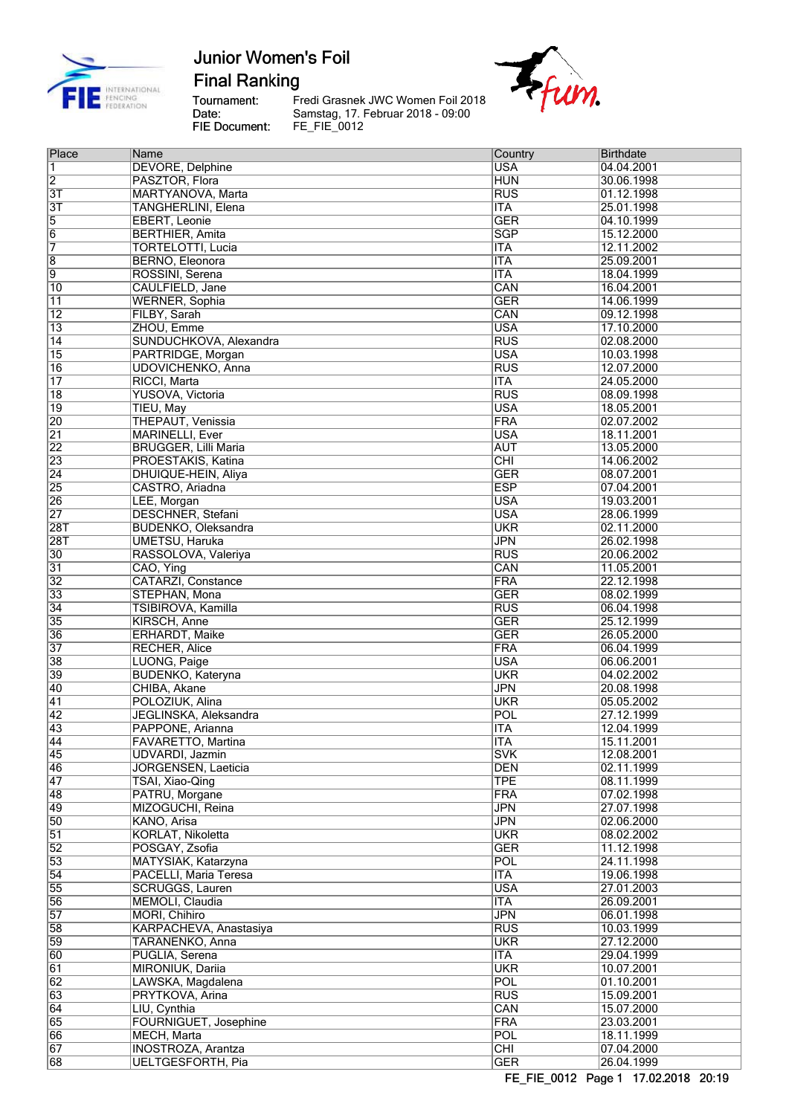

**Final Ranking** 

Tournament:<br>Date: **FIE Document:** 

Fredi Grasnek JWC Women Foil 2018 Samstag, 17. Februar 2018 - 09:00<br>FE\_FIE\_0012



| Place                  | Name                        | Country                        | <b>Birthdate</b> |
|------------------------|-----------------------------|--------------------------------|------------------|
| 1                      | <b>DEVORE, Delphine</b>     | <b>USA</b>                     | 04.04.2001       |
| $\overline{2}$         | PASZTOR, Flora              | <b>HUN</b>                     | 30.06.1998       |
| $\overline{3}$         | MARTYANOVA, Marta           | <b>RUS</b>                     | 01.12.1998       |
| $\overline{3T}$        | <b>TANGHERLINI, Elena</b>   | <b>ITA</b>                     | 25.01.1998       |
| $\overline{5}$         | <b>EBERT, Leonie</b>        | <b>GER</b>                     | 04.10.1999       |
| $\overline{6}$         | <b>BERTHIER, Amita</b>      | <b>SGP</b>                     | 15.12.2000       |
| 7                      | <b>TORTELOTTI, Lucia</b>    | <b>ITA</b>                     | 12.11.2002       |
| $\overline{8}$         | BERNO, Eleonora             | <b>ITA</b>                     | 25.09.2001       |
| $\overline{9}$         | ROSSINI, Serena             | <b>ITA</b>                     | 18.04.1999       |
| 10                     | CAULFIELD, Jane             | CAN                            | 16.04.2001       |
| $\overline{11}$        | <b>WERNER, Sophia</b>       | <b>GER</b>                     | 14.06.1999       |
| $\overline{12}$        | FILBY, Sarah                | CAN                            | 09.12.1998       |
| $\overline{13}$        | ZHOU, Emme                  | <b>USA</b>                     | 17.10.2000       |
| $\overline{14}$        | SUNDUCHKOVA, Alexandra      | <b>RUS</b>                     | 02.08.2000       |
| 15                     | PARTRIDGE, Morgan           | <b>USA</b>                     | 10.03.1998       |
| 16                     | UDOVICHENKO, Anna           | <b>RUS</b>                     | 12.07.2000       |
| $\overline{17}$        | RICCI, Marta                | <b>ITA</b>                     | 24.05.2000       |
| $\overline{18}$        | <b>YUSOVA, Victoria</b>     | <b>RUS</b>                     | 08.09.1998       |
| $\overline{19}$        | TIEU, May                   | <b>USA</b>                     | 18.05.2001       |
| 20                     | THEPAUT, Venissia           | <b>FRA</b>                     | 02.07.2002       |
| $\overline{21}$        | <b>MARINELLI, Ever</b>      | <b>USA</b>                     | 18.11.2001       |
| 22                     | <b>BRUGGER, Lilli Maria</b> | <b>AUT</b>                     | 13.05.2000       |
| 23                     | PROESTAKIS, Katina          | CHI                            | 14.06.2002       |
| $\overline{24}$        | DHUIQUE-HEIN, Aliya         | <b>GER</b>                     | 08.07.2001       |
| 25                     | CASTRO, Ariadna             | <b>ESP</b>                     | 07.04.2001       |
| 26                     | LEE, Morgan                 | <b>USA</b>                     | 19.03.2001       |
| $\overline{27}$        | <b>DESCHNER, Stefani</b>    | <b>USA</b>                     | 28.06.1999       |
| $\overline{28T}$       | <b>BUDENKO, Oleksandra</b>  | <b>UKR</b>                     | 02.11.2000       |
|                        |                             |                                |                  |
| $\overline{28T}$<br>30 | <b>UMETSU, Haruka</b>       | <b>JPN</b><br>$\overline{RUS}$ | 26.02.1998       |
|                        | RASSOLOVA, Valeriya         | CAN                            | 20.06.2002       |
| $\overline{31}$        | CAO, Ying                   |                                | 11.05.2001       |
| $\overline{32}$        | CATARZI, Constance          | <b>FRA</b>                     | 22.12.1998       |
| 33                     | STEPHAN, Mona               | <b>GER</b>                     | 08.02.1999       |
| $\overline{34}$        | TSIBIROVA, Kamilla          | <b>RUS</b>                     | 06.04.1998       |
| 35                     | KIRSCH, Anne                | <b>GER</b>                     | 25.12.1999       |
| 36                     | <b>ERHARDT, Maike</b>       | <b>GER</b>                     | 26.05.2000       |
| $\overline{37}$        | <b>RECHER, Alice</b>        | <b>FRA</b>                     | 06.04.1999       |
| 38                     | LUONG, Paige                | <b>USA</b>                     | 06.06.2001       |
| 39                     | <b>BUDENKO, Kateryna</b>    | <b>UKR</b>                     | 04.02.2002       |
| 40                     | CHIBA, Akane                | <b>JPN</b>                     | 20.08.1998       |
| 41                     | POLOZIUK, Alina             | <b>UKR</b>                     | 05.05.2002       |
| $\overline{42}$        | JEGLINSKA, Aleksandra       | POL                            | 27.12.1999       |
| 43                     | PAPPONE, Arianna            | <b>ITA</b>                     | 12.04.1999       |
| 44                     | FAVARETTO, Martina          | ITA                            | 15.11.2001       |
| 45                     | UDVARDI, Jazmin             | <b>SVK</b>                     | 12.08.2001       |
| 46                     | JORGENSEN, Laeticia         | <b>DEN</b>                     | 02.11.1999       |
| $\overline{47}$        | TSAI, Xiao-Qing             | <b>TPE</b>                     | 08.11.1999       |
| 48                     | PATRU, Morgane              | <b>FRA</b>                     | 07.02.1998       |
| 49                     | MIZOGUCHI, Reina            | <b>JPN</b>                     | 27.07.1998       |
| 50                     | KANO, Arisa                 | <b>JPN</b>                     | 02.06.2000       |
| $\overline{51}$        | KORLAT, Nikoletta           | <b>UKR</b>                     | 08.02.2002       |
| $\overline{52}$        | POSGAY, Zsofia              | <b>GER</b>                     | 11.12.1998       |
| 53                     | MATYSIAK, Katarzyna         | POL                            | 24.11.1998       |
| $\overline{54}$        | PACELLI, Maria Teresa       | <b>ITA</b>                     | 19.06.1998       |
| 55                     | <b>SCRUGGS, Lauren</b>      | <b>USA</b>                     | 27.01.2003       |
| 56                     | MEMOLI, Claudia             | <b>ITA</b>                     | 26.09.2001       |
| 57                     | MORI, Chihiro               | <b>JPN</b>                     | 06.01.1998       |
| 58                     | KARPACHEVA, Anastasiya      | RUS                            | 10.03.1999       |
| 59                     | TARANENKO, Anna             | <b>UKR</b>                     | 27.12.2000       |
| 60                     | PUGLIA, Serena              | <b>ITA</b>                     | 29.04.1999       |
| 61                     | MIRONIUK, Dariia            | <b>UKR</b>                     | 10.07.2001       |
| 62                     | LAWSKA, Magdalena           | POL                            | 01.10.2001       |
| 63                     | PRYTKOVA, Arina             | <b>RUS</b>                     | 15.09.2001       |
| 64                     | LIU, Cynthia                | CAN                            | 15.07.2000       |
| 65                     | FOURNIGUET, Josephine       | <b>FRA</b>                     | 23.03.2001       |
| 66                     | MECH, Marta                 | POL                            | 18.11.1999       |
| 67                     | <b>INOSTROZA, Arantza</b>   | CHI                            | 07.04.2000       |
| 68                     | <b>UELTGESFORTH, Pia</b>    | <b>GER</b>                     | 26.04.1999       |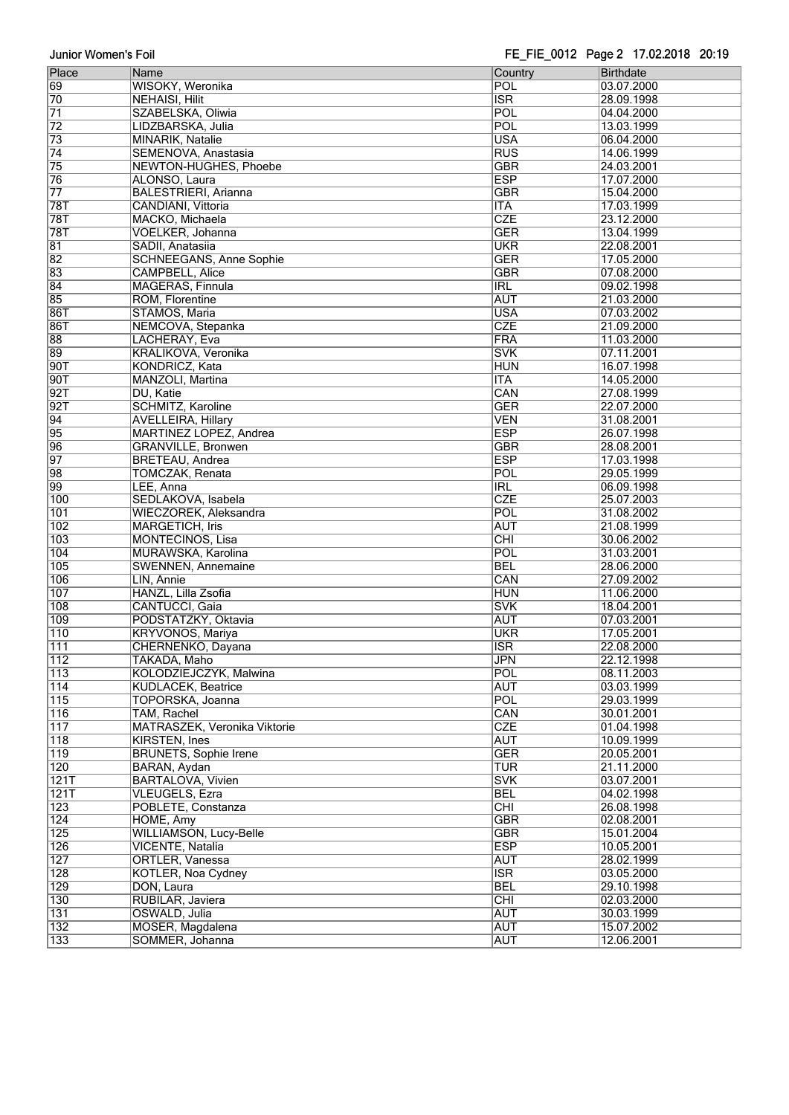|                  |                                |                  | .          |
|------------------|--------------------------------|------------------|------------|
| Place            | Name                           | Country          | Birthdate  |
| 69               | WISOKY, Weronika               | POL              | 03.07.2000 |
|                  |                                |                  |            |
| 70               | <b>NEHAISI, Hilit</b>          | <b>ISR</b>       | 28.09.1998 |
| 71               | SZABELSKA, Oliwia              | POL              | 04.04.2000 |
| $\overline{72}$  | LIDZBARSKA, Julia              | POL              | 13.03.1999 |
| 73               | <b>MINARIK, Natalie</b>        | <b>USA</b>       | 06.04.2000 |
| $\overline{74}$  | SEMENOVA, Anastasia            | RUS              | 14.06.1999 |
|                  |                                |                  |            |
| $\overline{75}$  | NEWTON-HUGHES, Phoebe          | <b>GBR</b>       | 24.03.2001 |
| 76               | ALONSO, Laura                  | <b>ESP</b>       | 17.07.2000 |
| $\overline{77}$  | <b>BALESTRIERI, Arianna</b>    | <b>GBR</b>       | 15.04.2000 |
| 78T              | CANDIANI, Vittoria             | <b>ITA</b>       | 17.03.1999 |
|                  |                                |                  |            |
| 78T              | MACKO, Michaela                | <b>CZE</b>       | 23.12.2000 |
| 78T              | <b>VOELKER, Johanna</b>        | <b>GER</b>       | 13.04.1999 |
| $\overline{81}$  | SADII, Anatasiia               | <b>UKR</b>       | 22.08.2001 |
| $\overline{82}$  | <b>SCHNEEGANS, Anne Sophie</b> | <b>GER</b>       | 17.05.2000 |
|                  |                                |                  |            |
| 83               | <b>CAMPBELL, Alice</b>         | <b>GBR</b>       | 07.08.2000 |
| $\overline{84}$  | MAGERAS, Finnula               | <b>IRL</b>       | 09.02.1998 |
| 85               | ROM, Florentine                | <b>AUT</b>       | 21.03.2000 |
| 86T              | STAMOS, Maria                  | <b>USA</b>       | 07.03.2002 |
|                  |                                | CZE              |            |
| 86T              | NEMCOVA, Stepanka              |                  | 21.09.2000 |
| 88               | LACHERAY, Eva                  | FRA              | 11.03.2000 |
| 89               | <b>KRALIKOVA, Veronika</b>     | <b>SVK</b>       | 07.11.2001 |
| 90T              | <b>KONDRICZ, Kata</b>          | <b>HUN</b>       | 16.07.1998 |
| 90T              | MANZOLI, Martina               | <b>ITA</b>       | 14.05.2000 |
|                  |                                |                  |            |
| 92T              | DU, Katie                      | CAN              | 27.08.1999 |
| 92T              | <b>SCHMITZ, Karoline</b>       | <b>GER</b>       | 22.07.2000 |
| 94               | <b>AVELLEIRA, Hillary</b>      | <b>VEN</b>       | 31.08.2001 |
| 95               | MARTINEZ LOPEZ, Andrea         | <b>ESP</b>       | 26.07.1998 |
|                  |                                |                  |            |
| 96               | <b>GRANVILLE, Bronwen</b>      | <b>GBR</b>       | 28.08.2001 |
| $\overline{97}$  | <b>BRETEAU, Andrea</b>         | <b>ESP</b>       | 17.03.1998 |
| 98               | TOMCZAK, Renata                | POL              | 29.05.1999 |
| 99               | LEE, Anna                      | IRL              | 06.09.1998 |
|                  |                                |                  |            |
| 100              | SEDLAKOVA, Isabela             | <b>CZE</b>       | 25.07.2003 |
| 101              | WIECZOREK, Aleksandra          | POL              | 31.08.2002 |
| 102              | <b>MARGETICH, Iris</b>         | <b>AUT</b>       | 21.08.1999 |
| 103              | MONTECINOS, Lisa               | $\overline{CHI}$ | 30.06.2002 |
|                  |                                |                  |            |
| 104              | MURAWSKA, Karolina             | POL              | 31.03.2001 |
| 105              | <b>SWENNEN, Annemaine</b>      | <b>BEL</b>       | 28.06.2000 |
| 106              | LIN, Annie                     | CAN              | 27.09.2002 |
| 107              | HANZL, Lilla Zsofia            | <b>HUN</b>       | 11.06.2000 |
| 108              | <b>CANTUCCI</b> , Gaia         | <b>SVK</b>       | 18.04.2001 |
|                  |                                |                  |            |
| 109              | PODSTATZKY, Oktavia            | <b>AUT</b>       | 07.03.2001 |
| 110              | <b>KRYVONOS, Mariya</b>        | <b>UKR</b>       | 17.05.2001 |
| 111              | CHERNENKO, Dayana              | <b>ISR</b>       | 22.08.2000 |
| 112              | TAKADA, Maho                   | <b>JPN</b>       | 22.12.1998 |
|                  |                                |                  |            |
| 113              | KOLODZIEJCZYK, Malwina         | POL              | 08.11.2003 |
| 114              | KUDLACEK, Beatrice             | <b>AUT</b>       | 03.03.1999 |
| 115              | TOPORSKA, Joanna               | POL              | 29.03.1999 |
| 116              | TAM, Rachel                    | CAN              | 30.01.2001 |
| 117              | MATRASZEK, Veronika Viktorie   | <b>CZE</b>       | 01.04.1998 |
|                  |                                |                  |            |
| $\overline{118}$ | KIRSTEN, Ines                  | <b>AUT</b>       | 10.09.1999 |
| $\overline{119}$ | <b>BRUNETS, Sophie Irene</b>   | <b>GER</b>       | 20.05.2001 |
| 120              | BARAN, Aydan                   | <b>TUR</b>       | 21.11.2000 |
| 121T             | <b>BARTALOVA, Vivien</b>       | <b>SVK</b>       | 03.07.2001 |
|                  |                                |                  |            |
| 121T             | <b>VLEUGELS, Ezra</b>          | <b>BEL</b>       | 04.02.1998 |
| 123              | POBLETE, Constanza             | CHI              | 26.08.1998 |
| 124              | HOME, Amy                      | <b>GBR</b>       | 02.08.2001 |
| 125              | <b>WILLIAMSON, Lucy-Belle</b>  | <b>GBR</b>       | 15.01.2004 |
|                  |                                |                  |            |
| 126              | VICENTE, Natalia               | <b>ESP</b>       | 10.05.2001 |
| $\overline{127}$ | ORTLER, Vanessa                | <b>AUT</b>       | 28.02.1999 |
| 128              | <b>KOTLER, Noa Cydney</b>      | <b>ISR</b>       | 03.05.2000 |
| 129              | DON, Laura                     | <b>BEL</b>       | 29.10.1998 |
|                  |                                |                  |            |
| 130              | RUBILAR, Javiera               | CHI              | 02.03.2000 |
| 131              | OSWALD, Julia                  | <b>AUT</b>       | 30.03.1999 |
| 132              | MOSER, Magdalena               | <b>AUT</b>       | 15.07.2002 |
| 133              | SOMMER, Johanna                | <b>AUT</b>       | 12.06.2001 |
|                  |                                |                  |            |